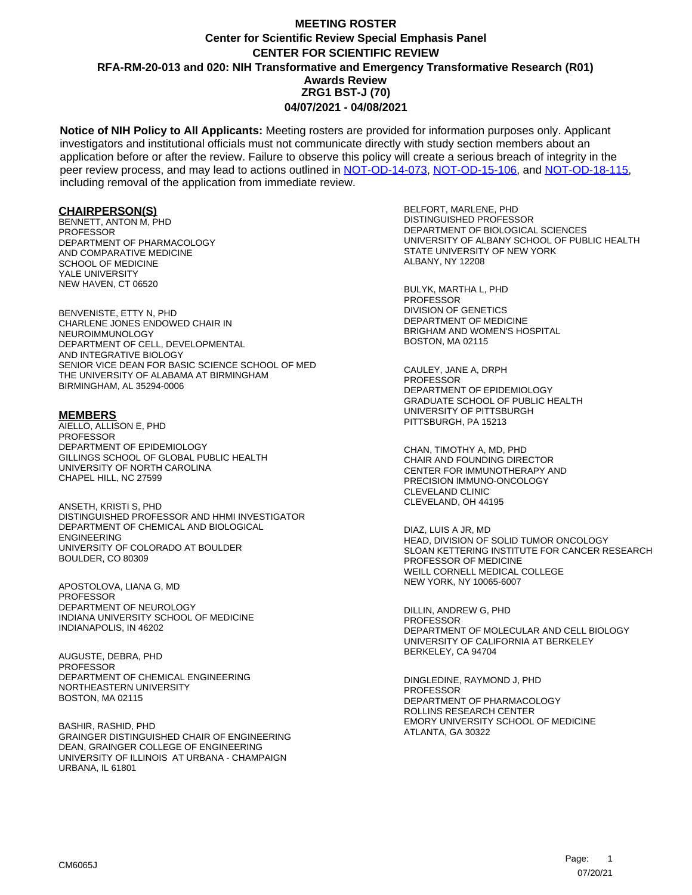**Notice of NIH Policy to All Applicants:** Meeting rosters are provided for information purposes only. Applicant investigators and institutional officials must not communicate directly with study section members about an application before or after the review. Failure to observe this policy will create a serious breach of integrity in the peer review process, and may lead to actions outlined in [NOT-OD-14-073,](https://grants.nih.gov/grants/guide/notice-files/NOT-OD-14-073.html) [NOT-OD-15-106,](https://grants.nih.gov/grants/guide/notice-files/NOT-OD-15-106.html) and [NOT-OD-18-115,](https://grants.nih.gov/grants/guide/notice-files/NOT-OD-18-115.html) including removal of the application from immediate review.

#### **CHAIRPERSON(S)**

BENNETT, ANTON M, PHD PROFESSOR DEPARTMENT OF PHARMACOLOGY AND COMPARATIVE MEDICINE SCHOOL OF MEDICINE YALE UNIVERSITY NEW HAVEN, CT 06520

BENVENISTE, ETTY N, PHD CHARLENE JONES ENDOWED CHAIR IN NEUROIMMUNOLOGY DEPARTMENT OF CELL, DEVELOPMENTAL AND INTEGRATIVE BIOLOGY SENIOR VICE DEAN FOR BASIC SCIENCE SCHOOL OF MED THE UNIVERSITY OF ALABAMA AT BIRMINGHAM BIRMINGHAM, AL 35294-0006

#### **MEMBERS**

AIELLO, ALLISON E, PHD PROFESSOR DEPARTMENT OF EPIDEMIOLOGY GILLINGS SCHOOL OF GLOBAL PUBLIC HEALTH UNIVERSITY OF NORTH CAROLINA CHAPEL HILL, NC 27599

ANSETH, KRISTI S, PHD DISTINGUISHED PROFESSOR AND HHMI INVESTIGATOR DEPARTMENT OF CHEMICAL AND BIOLOGICAL ENGINEERING UNIVERSITY OF COLORADO AT BOULDER BOULDER, CO 80309

APOSTOLOVA, LIANA G, MD PROFESSOR DEPARTMENT OF NEUROLOGY INDIANA UNIVERSITY SCHOOL OF MEDICINE INDIANAPOLIS, IN 46202

AUGUSTE, DEBRA, PHD PROFESSOR DEPARTMENT OF CHEMICAL ENGINEERING NORTHEASTERN UNIVERSITY BOSTON, MA 02115

BASHIR, RASHID, PHD GRAINGER DISTINGUISHED CHAIR OF ENGINEERING DEAN, GRAINGER COLLEGE OF ENGINEERING UNIVERSITY OF ILLINOIS AT URBANA - CHAMPAIGN URBANA, IL 61801

BELFORT, MARLENE, PHD DISTINGUISHED PROFESSOR DEPARTMENT OF BIOLOGICAL SCIENCES UNIVERSITY OF ALBANY SCHOOL OF PUBLIC HEALTH STATE UNIVERSITY OF NEW YORK ALBANY, NY 12208

BULYK, MARTHA L, PHD **PROFESSOR** DIVISION OF GENETICS DEPARTMENT OF MEDICINE BRIGHAM AND WOMEN'S HOSPITAL BOSTON, MA 02115

CAULEY, JANE A, DRPH PROFESSOR DEPARTMENT OF EPIDEMIOLOGY GRADUATE SCHOOL OF PUBLIC HEALTH UNIVERSITY OF PITTSBURGH PITTSBURGH, PA 15213

CHAN, TIMOTHY A, MD, PHD CHAIR AND FOUNDING DIRECTOR CENTER FOR IMMUNOTHERAPY AND PRECISION IMMUNO-ONCOLOGY CLEVELAND CLINIC CLEVELAND, OH 44195

DIAZ, LUIS A JR, MD HEAD, DIVISION OF SOLID TUMOR ONCOLOGY SLOAN KETTERING INSTITUTE FOR CANCER RESEARCH PROFESSOR OF MEDICINE WEILL CORNELL MEDICAL COLLEGE NEW YORK, NY 10065-6007

DILLIN, ANDREW G, PHD PROFESSOR DEPARTMENT OF MOLECULAR AND CELL BIOLOGY UNIVERSITY OF CALIFORNIA AT BERKELEY BERKELEY, CA 94704

DINGLEDINE, RAYMOND J, PHD PROFESSOR DEPARTMENT OF PHARMACOLOGY ROLLINS RESEARCH CENTER EMORY UNIVERSITY SCHOOL OF MEDICINE ATLANTA, GA 30322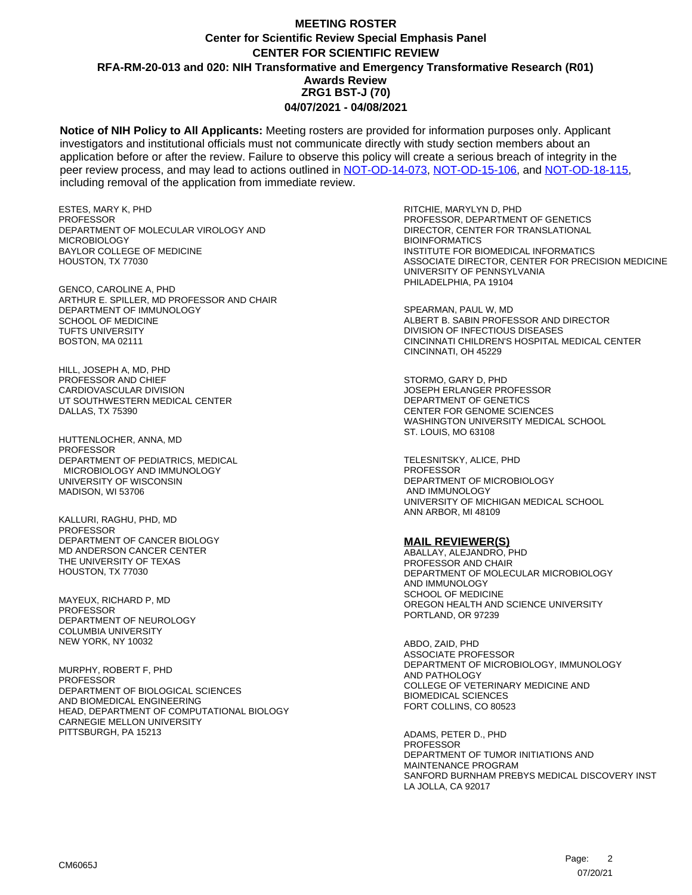**Notice of NIH Policy to All Applicants:** Meeting rosters are provided for information purposes only. Applicant investigators and institutional officials must not communicate directly with study section members about an application before or after the review. Failure to observe this policy will create a serious breach of integrity in the peer review process, and may lead to actions outlined in [NOT-OD-14-073,](https://grants.nih.gov/grants/guide/notice-files/NOT-OD-14-073.html) [NOT-OD-15-106,](https://grants.nih.gov/grants/guide/notice-files/NOT-OD-15-106.html) and [NOT-OD-18-115,](https://grants.nih.gov/grants/guide/notice-files/NOT-OD-18-115.html) including removal of the application from immediate review.

ESTES, MARY K, PHD **PROFESSOR** DEPARTMENT OF MOLECULAR VIROLOGY AND MICROBIOLOGY BAYLOR COLLEGE OF MEDICINE HOUSTON, TX 77030

GENCO, CAROLINE A, PHD ARTHUR E. SPILLER, MD PROFESSOR AND CHAIR DEPARTMENT OF IMMUNOLOGY SCHOOL OF MEDICINE TUFTS UNIVERSITY BOSTON, MA 02111

HILL, JOSEPH A, MD, PHD PROFESSOR AND CHIEF CARDIOVASCULAR DIVISION UT SOUTHWESTERN MEDICAL CENTER DALLAS, TX 75390

HUTTENLOCHER, ANNA, MD PROFESSOR DEPARTMENT OF PEDIATRICS, MEDICAL MICROBIOLOGY AND IMMUNOLOGY UNIVERSITY OF WISCONSIN MADISON, WI 53706

KALLURI, RAGHU, PHD, MD PROFESSOR DEPARTMENT OF CANCER BIOLOGY MD ANDERSON CANCER CENTER THE UNIVERSITY OF TEXAS HOUSTON, TX 77030

MAYEUX, RICHARD P, MD **PROFESSOR** DEPARTMENT OF NEUROLOGY COLUMBIA UNIVERSITY NEW YORK, NY 10032

MURPHY, ROBERT F, PHD PROFESSOR DEPARTMENT OF BIOLOGICAL SCIENCES AND BIOMEDICAL ENGINEERING HEAD, DEPARTMENT OF COMPUTATIONAL BIOLOGY CARNEGIE MELLON UNIVERSITY PITTSBURGH, PA 15213

RITCHIE, MARYLYN D, PHD PROFESSOR, DEPARTMENT OF GENETICS DIRECTOR, CENTER FOR TRANSLATIONAL BIOINFORMATICS INSTITUTE FOR BIOMEDICAL INFORMATICS ASSOCIATE DIRECTOR, CENTER FOR PRECISION MEDICINE UNIVERSITY OF PENNSYLVANIA PHILADELPHIA, PA 19104

SPEARMAN, PAUL W, MD ALBERT B. SABIN PROFESSOR AND DIRECTOR DIVISION OF INFECTIOUS DISEASES CINCINNATI CHILDREN'S HOSPITAL MEDICAL CENTER CINCINNATI, OH 45229

STORMO, GARY D, PHD JOSEPH ERLANGER PROFESSOR DEPARTMENT OF GENETICS CENTER FOR GENOME SCIENCES WASHINGTON UNIVERSITY MEDICAL SCHOOL ST. LOUIS, MO 63108

TELESNITSKY, ALICE, PHD **PROFESSOR** DEPARTMENT OF MICROBIOLOGY AND IMMUNOLOGY UNIVERSITY OF MICHIGAN MEDICAL SCHOOL ANN ARBOR, MI 48109

#### **MAIL REVIEWER(S)**

ABALLAY, ALEJANDRO, PHD PROFESSOR AND CHAIR DEPARTMENT OF MOLECULAR MICROBIOLOGY AND IMMUNOLOGY SCHOOL OF MEDICINE OREGON HEALTH AND SCIENCE UNIVERSITY PORTLAND, OR 97239

ABDO, ZAID, PHD ASSOCIATE PROFESSOR DEPARTMENT OF MICROBIOLOGY, IMMUNOLOGY AND PATHOLOGY COLLEGE OF VETERINARY MEDICINE AND BIOMEDICAL SCIENCES FORT COLLINS, CO 80523

ADAMS, PETER D., PHD PROFESSOR DEPARTMENT OF TUMOR INITIATIONS AND MAINTENANCE PROGRAM SANFORD BURNHAM PREBYS MEDICAL DISCOVERY INST LA JOLLA, CA 92017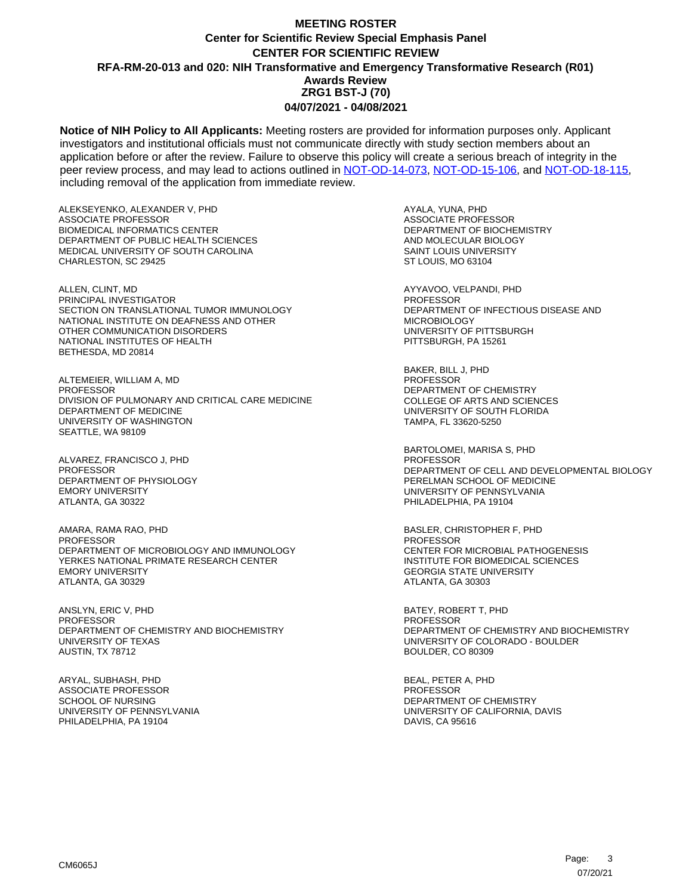**Notice of NIH Policy to All Applicants:** Meeting rosters are provided for information purposes only. Applicant investigators and institutional officials must not communicate directly with study section members about an application before or after the review. Failure to observe this policy will create a serious breach of integrity in the peer review process, and may lead to actions outlined in [NOT-OD-14-073,](https://grants.nih.gov/grants/guide/notice-files/NOT-OD-14-073.html) [NOT-OD-15-106,](https://grants.nih.gov/grants/guide/notice-files/NOT-OD-15-106.html) and [NOT-OD-18-115,](https://grants.nih.gov/grants/guide/notice-files/NOT-OD-18-115.html) including removal of the application from immediate review.

ALEKSEYENKO, ALEXANDER V, PHD ASSOCIATE PROFESSOR BIOMEDICAL INFORMATICS CENTER DEPARTMENT OF PUBLIC HEALTH SCIENCES MEDICAL UNIVERSITY OF SOUTH CAROLINA CHARLESTON, SC 29425

ALLEN, CLINT, MD PRINCIPAL INVESTIGATOR SECTION ON TRANSLATIONAL TUMOR IMMUNOLOGY NATIONAL INSTITUTE ON DEAFNESS AND OTHER OTHER COMMUNICATION DISORDERS NATIONAL INSTITUTES OF HEALTH BETHESDA, MD 20814

ALTEMEIER, WILLIAM A, MD PROFESSOR DIVISION OF PULMONARY AND CRITICAL CARE MEDICINE DEPARTMENT OF MEDICINE UNIVERSITY OF WASHINGTON SEATTLE, WA 98109

ALVAREZ, FRANCISCO J, PHD **PROFESSOR** DEPARTMENT OF PHYSIOLOGY EMORY UNIVERSITY ATLANTA, GA 30322

AMARA, RAMA RAO, PHD PROFESSOR DEPARTMENT OF MICROBIOLOGY AND IMMUNOLOGY YERKES NATIONAL PRIMATE RESEARCH CENTER EMORY UNIVERSITY ATLANTA, GA 30329

ANSLYN, ERIC V, PHD PROFESSOR DEPARTMENT OF CHEMISTRY AND BIOCHEMISTRY UNIVERSITY OF TEXAS AUSTIN, TX 78712

ARYAL, SUBHASH, PHD ASSOCIATE PROFESSOR SCHOOL OF NURSING UNIVERSITY OF PENNSYLVANIA PHILADELPHIA, PA 19104

AYALA, YUNA, PHD ASSOCIATE PROFESSOR DEPARTMENT OF BIOCHEMISTRY AND MOLECULAR BIOLOGY SAINT LOUIS UNIVERSITY ST LOUIS, MO 63104

AYYAVOO, VELPANDI, PHD **PROFESSOR** DEPARTMENT OF INFECTIOUS DISEASE AND MICROBIOLOGY UNIVERSITY OF PITTSBURGH PITTSBURGH, PA 15261

BAKER, BILL J, PHD **PROFESSOR** DEPARTMENT OF CHEMISTRY COLLEGE OF ARTS AND SCIENCES UNIVERSITY OF SOUTH FLORIDA TAMPA, FL 33620-5250

BARTOLOMEI, MARISA S, PHD PROFESSOR DEPARTMENT OF CELL AND DEVELOPMENTAL BIOLOGY PERELMAN SCHOOL OF MEDICINE UNIVERSITY OF PENNSYLVANIA PHILADELPHIA, PA 19104

BASLER, CHRISTOPHER F, PHD PROFESSOR CENTER FOR MICROBIAL PATHOGENESIS INSTITUTE FOR BIOMEDICAL SCIENCES GEORGIA STATE UNIVERSITY ATLANTA, GA 30303

BATEY, ROBERT T, PHD PROFESSOR DEPARTMENT OF CHEMISTRY AND BIOCHEMISTRY UNIVERSITY OF COLORADO - BOULDER BOULDER, CO 80309

BEAL, PETER A, PHD PROFESSOR DEPARTMENT OF CHEMISTRY UNIVERSITY OF CALIFORNIA, DAVIS DAVIS, CA 95616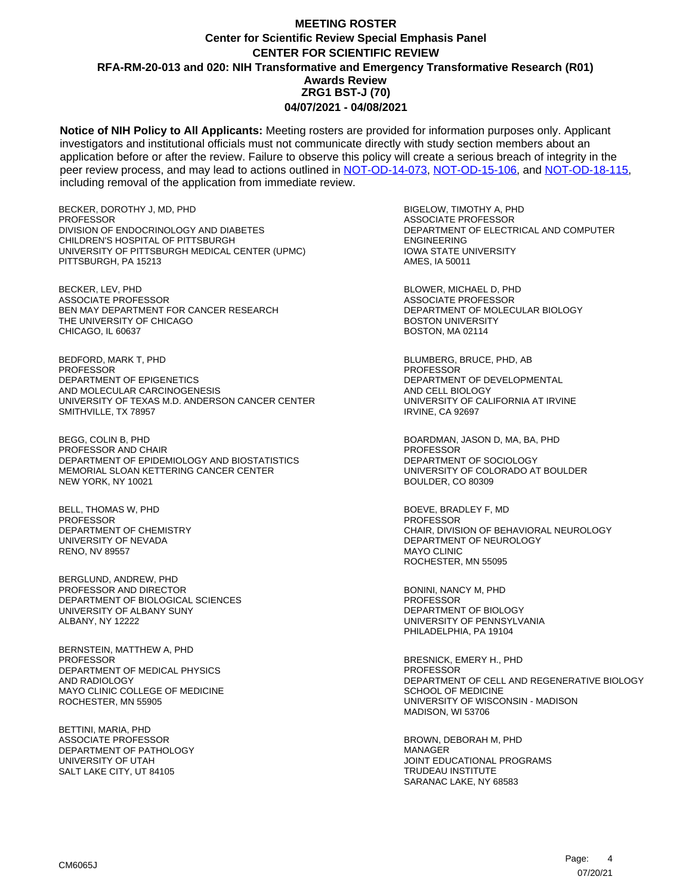**Notice of NIH Policy to All Applicants:** Meeting rosters are provided for information purposes only. Applicant investigators and institutional officials must not communicate directly with study section members about an application before or after the review. Failure to observe this policy will create a serious breach of integrity in the peer review process, and may lead to actions outlined in [NOT-OD-14-073,](https://grants.nih.gov/grants/guide/notice-files/NOT-OD-14-073.html) [NOT-OD-15-106,](https://grants.nih.gov/grants/guide/notice-files/NOT-OD-15-106.html) and [NOT-OD-18-115,](https://grants.nih.gov/grants/guide/notice-files/NOT-OD-18-115.html) including removal of the application from immediate review.

BECKER, DOROTHY J, MD, PHD **PROFESSOR** DIVISION OF ENDOCRINOLOGY AND DIABETES CHILDREN'S HOSPITAL OF PITTSBURGH UNIVERSITY OF PITTSBURGH MEDICAL CENTER (UPMC) PITTSBURGH, PA 15213

BECKER, LEV, PHD ASSOCIATE PROFESSOR BEN MAY DEPARTMENT FOR CANCER RESEARCH THE UNIVERSITY OF CHICAGO CHICAGO, IL 60637

BEDFORD, MARK T, PHD PROFESSOR DEPARTMENT OF EPIGENETICS AND MOLECULAR CARCINOGENESIS UNIVERSITY OF TEXAS M.D. ANDERSON CANCER CENTER SMITHVILLE, TX 78957

BEGG, COLIN B, PHD PROFESSOR AND CHAIR DEPARTMENT OF EPIDEMIOLOGY AND BIOSTATISTICS MEMORIAL SLOAN KETTERING CANCER CENTER NEW YORK, NY 10021

BELL, THOMAS W, PHD PROFESSOR DEPARTMENT OF CHEMISTRY UNIVERSITY OF NEVADA RENO, NV 89557

BERGLUND, ANDREW, PHD PROFESSOR AND DIRECTOR DEPARTMENT OF BIOLOGICAL SCIENCES UNIVERSITY OF ALBANY SUNY ALBANY, NY 12222

BERNSTEIN, MATTHEW A, PHD PROFESSOR DEPARTMENT OF MEDICAL PHYSICS AND RADIOLOGY MAYO CLINIC COLLEGE OF MEDICINE ROCHESTER, MN 55905

BETTINI, MARIA, PHD ASSOCIATE PROFESSOR DEPARTMENT OF PATHOLOGY UNIVERSITY OF UTAH SALT LAKE CITY, UT 84105

BIGELOW, TIMOTHY A, PHD ASSOCIATE PROFESSOR DEPARTMENT OF ELECTRICAL AND COMPUTER ENGINEERING IOWA STATE UNIVERSITY AMES, IA 50011

BLOWER, MICHAEL D, PHD ASSOCIATE PROFESSOR DEPARTMENT OF MOLECULAR BIOLOGY BOSTON UNIVERSITY BOSTON, MA 02114

BLUMBERG, BRUCE, PHD, AB PROFESSOR DEPARTMENT OF DEVELOPMENTAL AND CELL BIOLOGY UNIVERSITY OF CALIFORNIA AT IRVINE IRVINE, CA 92697

BOARDMAN, JASON D, MA, BA, PHD PROFESSOR DEPARTMENT OF SOCIOLOGY UNIVERSITY OF COLORADO AT BOULDER BOULDER, CO 80309

BOEVE, BRADLEY F, MD PROFESSOR CHAIR, DIVISION OF BEHAVIORAL NEUROLOGY DEPARTMENT OF NEUROLOGY MAYO CLINIC ROCHESTER, MN 55095

BONINI, NANCY M, PHD PROFESSOR DEPARTMENT OF BIOLOGY UNIVERSITY OF PENNSYLVANIA PHILADELPHIA, PA 19104

BRESNICK, EMERY H., PHD PROFESSOR DEPARTMENT OF CELL AND REGENERATIVE BIOLOGY SCHOOL OF MEDICINE UNIVERSITY OF WISCONSIN - MADISON MADISON, WI 53706

BROWN, DEBORAH M, PHD MANAGER JOINT EDUCATIONAL PROGRAMS TRUDEAU INSTITUTE SARANAC LAKE, NY 68583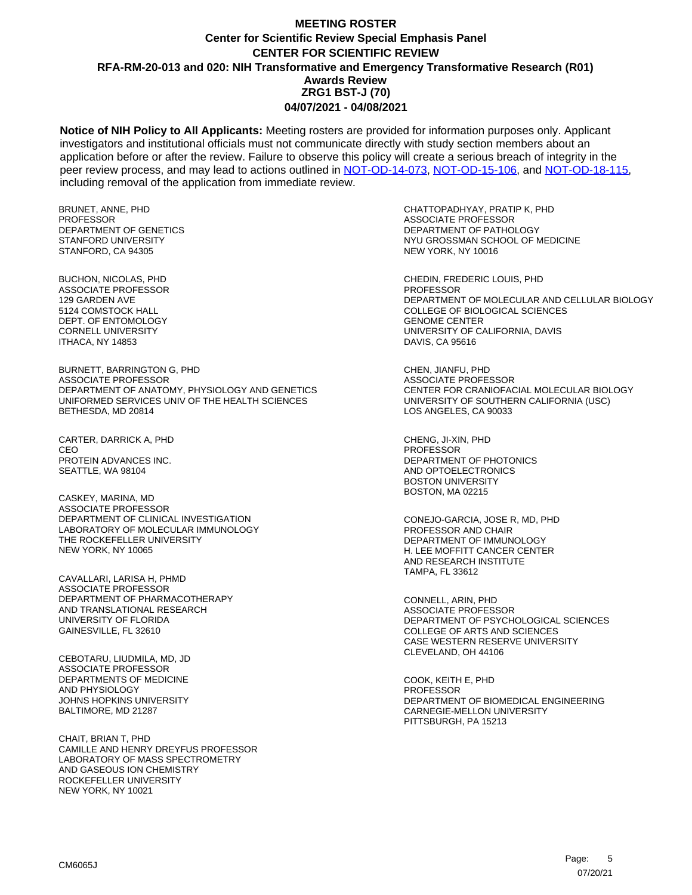**Notice of NIH Policy to All Applicants:** Meeting rosters are provided for information purposes only. Applicant investigators and institutional officials must not communicate directly with study section members about an application before or after the review. Failure to observe this policy will create a serious breach of integrity in the peer review process, and may lead to actions outlined in [NOT-OD-14-073,](https://grants.nih.gov/grants/guide/notice-files/NOT-OD-14-073.html) [NOT-OD-15-106,](https://grants.nih.gov/grants/guide/notice-files/NOT-OD-15-106.html) and [NOT-OD-18-115,](https://grants.nih.gov/grants/guide/notice-files/NOT-OD-18-115.html) including removal of the application from immediate review.

BRUNET, ANNE, PHD **PROFESSOR** DEPARTMENT OF GENETICS STANFORD UNIVERSITY STANFORD, CA 94305

BUCHON, NICOLAS, PHD ASSOCIATE PROFESSOR 129 GARDEN AVE 5124 COMSTOCK HALL DEPT. OF ENTOMOLOGY CORNELL UNIVERSITY ITHACA, NY 14853

BURNETT, BARRINGTON G, PHD ASSOCIATE PROFESSOR DEPARTMENT OF ANATOMY, PHYSIOLOGY AND GENETICS UNIFORMED SERVICES UNIV OF THE HEALTH SCIENCES BETHESDA, MD 20814

CARTER, DARRICK A, PHD CEO PROTEIN ADVANCES INC. SEATTLE, WA 98104

CASKEY, MARINA, MD ASSOCIATE PROFESSOR DEPARTMENT OF CLINICAL INVESTIGATION LABORATORY OF MOLECULAR IMMUNOLOGY THE ROCKEFELLER UNIVERSITY NEW YORK, NY 10065

CAVALLARI, LARISA H, PHMD ASSOCIATE PROFESSOR DEPARTMENT OF PHARMACOTHERAPY AND TRANSLATIONAL RESEARCH UNIVERSITY OF FLORIDA GAINESVILLE, FL 32610

CEBOTARU, LIUDMILA, MD, JD ASSOCIATE PROFESSOR DEPARTMENTS OF MEDICINE AND PHYSIOLOGY JOHNS HOPKINS UNIVERSITY BALTIMORE, MD 21287

CHAIT, BRIAN T, PHD CAMILLE AND HENRY DREYFUS PROFESSOR LABORATORY OF MASS SPECTROMETRY AND GASEOUS ION CHEMISTRY ROCKEFELLER UNIVERSITY NEW YORK, NY 10021

CHATTOPADHYAY, PRATIP K, PHD ASSOCIATE PROFESSOR DEPARTMENT OF PATHOLOGY NYU GROSSMAN SCHOOL OF MEDICINE NEW YORK, NY 10016

CHEDIN, FREDERIC LOUIS, PHD **PROFESSOR** DEPARTMENT OF MOLECULAR AND CELLULAR BIOLOGY COLLEGE OF BIOLOGICAL SCIENCES GENOME CENTER UNIVERSITY OF CALIFORNIA, DAVIS DAVIS, CA 95616

CHEN, JIANFU, PHD ASSOCIATE PROFESSOR CENTER FOR CRANIOFACIAL MOLECULAR BIOLOGY UNIVERSITY OF SOUTHERN CALIFORNIA (USC) LOS ANGELES, CA 90033

CHENG, JI-XIN, PHD PROFESSOR DEPARTMENT OF PHOTONICS AND OPTOELECTRONICS BOSTON UNIVERSITY BOSTON, MA 02215

CONEJO-GARCIA, JOSE R, MD, PHD PROFESSOR AND CHAIR DEPARTMENT OF IMMUNOLOGY H. LEE MOFFITT CANCER CENTER AND RESEARCH INSTITUTE TAMPA, FL 33612

CONNELL, ARIN, PHD ASSOCIATE PROFESSOR DEPARTMENT OF PSYCHOLOGICAL SCIENCES COLLEGE OF ARTS AND SCIENCES CASE WESTERN RESERVE UNIVERSITY CLEVELAND, OH 44106

COOK, KEITH E, PHD **PROFESSOR** DEPARTMENT OF BIOMEDICAL ENGINEERING CARNEGIE-MELLON UNIVERSITY PITTSBURGH, PA 15213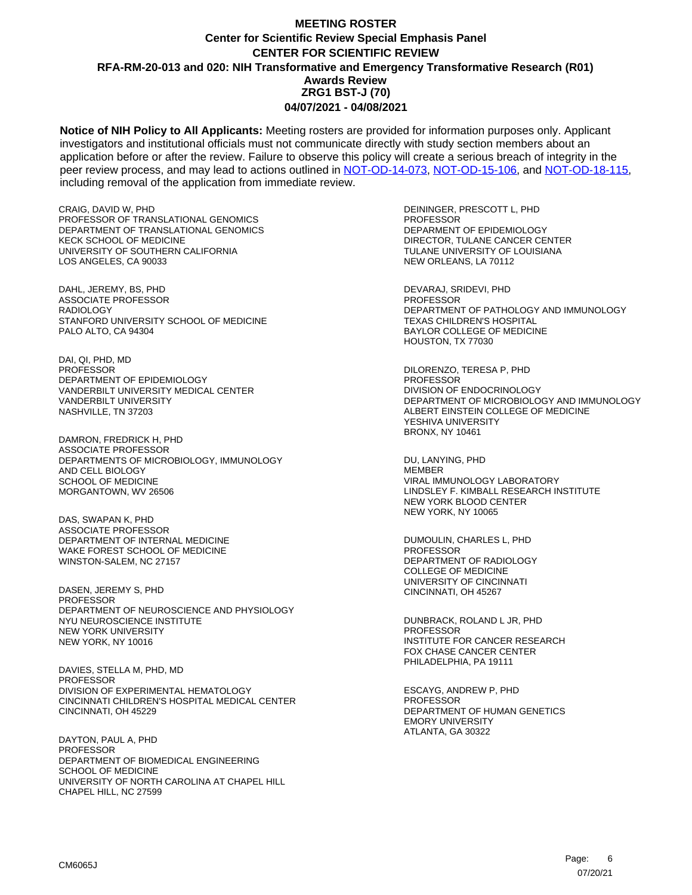**Notice of NIH Policy to All Applicants:** Meeting rosters are provided for information purposes only. Applicant investigators and institutional officials must not communicate directly with study section members about an application before or after the review. Failure to observe this policy will create a serious breach of integrity in the peer review process, and may lead to actions outlined in [NOT-OD-14-073,](https://grants.nih.gov/grants/guide/notice-files/NOT-OD-14-073.html) [NOT-OD-15-106,](https://grants.nih.gov/grants/guide/notice-files/NOT-OD-15-106.html) and [NOT-OD-18-115,](https://grants.nih.gov/grants/guide/notice-files/NOT-OD-18-115.html) including removal of the application from immediate review.

CRAIG, DAVID W, PHD PROFESSOR OF TRANSLATIONAL GENOMICS DEPARTMENT OF TRANSLATIONAL GENOMICS KECK SCHOOL OF MEDICINE UNIVERSITY OF SOUTHERN CALIFORNIA LOS ANGELES, CA 90033

DAHL, JEREMY, BS, PHD ASSOCIATE PROFESSOR RADIOLOGY STANFORD UNIVERSITY SCHOOL OF MEDICINE PALO ALTO, CA 94304

DAI, QI, PHD, MD PROFESSOR DEPARTMENT OF EPIDEMIOLOGY VANDERBILT UNIVERSITY MEDICAL CENTER VANDERBILT UNIVERSITY NASHVILLE, TN 37203

DAMRON, FREDRICK H, PHD ASSOCIATE PROFESSOR DEPARTMENTS OF MICROBIOLOGY, IMMUNOLOGY AND CELL BIOLOGY SCHOOL OF MEDICINE MORGANTOWN, WV 26506

DAS, SWAPAN K, PHD ASSOCIATE PROFESSOR DEPARTMENT OF INTERNAL MEDICINE WAKE FOREST SCHOOL OF MEDICINE WINSTON-SALEM, NC 27157

DASEN, JEREMY S, PHD PROFESSOR DEPARTMENT OF NEUROSCIENCE AND PHYSIOLOGY NYU NEUROSCIENCE INSTITUTE NEW YORK UNIVERSITY NEW YORK, NY 10016

DAVIES, STELLA M, PHD, MD PROFESSOR DIVISION OF EXPERIMENTAL HEMATOLOGY CINCINNATI CHILDREN'S HOSPITAL MEDICAL CENTER CINCINNATI, OH 45229

DAYTON, PAUL A, PHD PROFESSOR DEPARTMENT OF BIOMEDICAL ENGINEERING SCHOOL OF MEDICINE UNIVERSITY OF NORTH CAROLINA AT CHAPEL HILL CHAPEL HILL, NC 27599

DEININGER, PRESCOTT L, PHD PROFESSOR DEPARMENT OF EPIDEMIOLOGY DIRECTOR, TULANE CANCER CENTER TULANE UNIVERSITY OF LOUISIANA NEW ORLEANS, LA 70112

DEVARAJ, SRIDEVI, PHD PROFESSOR DEPARTMENT OF PATHOLOGY AND IMMUNOLOGY TEXAS CHILDREN'S HOSPITAL BAYLOR COLLEGE OF MEDICINE HOUSTON, TX 77030

DILORENZO, TERESA P, PHD PROFESSOR DIVISION OF ENDOCRINOLOGY DEPARTMENT OF MICROBIOLOGY AND IMMUNOLOGY ALBERT EINSTEIN COLLEGE OF MEDICINE YESHIVA UNIVERSITY BRONX, NY 10461

DU, LANYING, PHD **MEMBER** VIRAL IMMUNOLOGY LABORATORY LINDSLEY F. KIMBALL RESEARCH INSTITUTE NEW YORK BLOOD CENTER NEW YORK, NY 10065

DUMOULIN, CHARLES L, PHD PROFESSOR DEPARTMENT OF RADIOLOGY COLLEGE OF MEDICINE UNIVERSITY OF CINCINNATI CINCINNATI, OH 45267

DUNBRACK, ROLAND L JR, PHD PROFESSOR INSTITUTE FOR CANCER RESEARCH FOX CHASE CANCER CENTER PHILADELPHIA, PA 19111

ESCAYG, ANDREW P, PHD PROFESSOR DEPARTMENT OF HUMAN GENETICS EMORY UNIVERSITY ATLANTA, GA 30322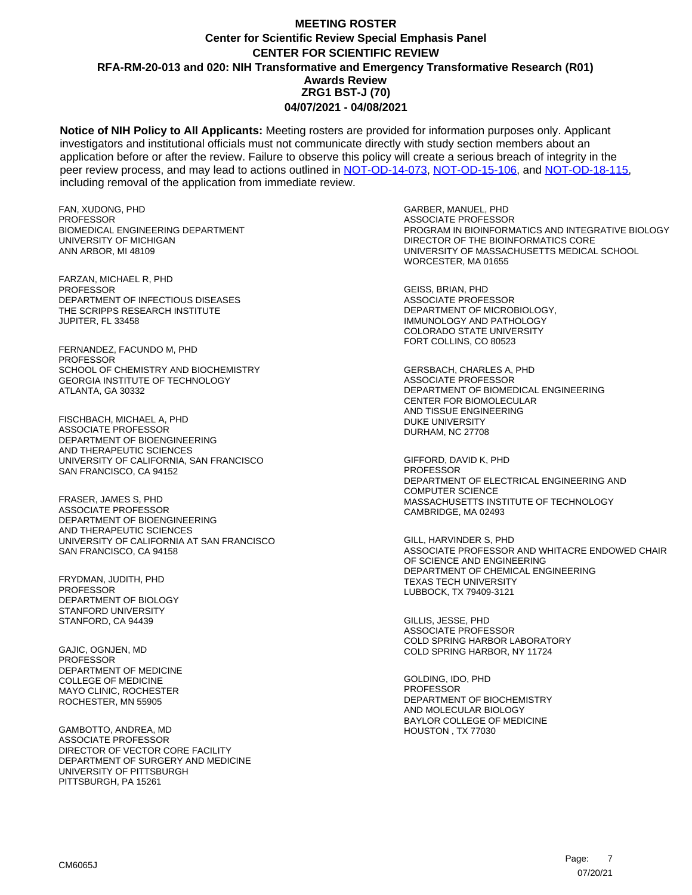**Notice of NIH Policy to All Applicants:** Meeting rosters are provided for information purposes only. Applicant investigators and institutional officials must not communicate directly with study section members about an application before or after the review. Failure to observe this policy will create a serious breach of integrity in the peer review process, and may lead to actions outlined in [NOT-OD-14-073,](https://grants.nih.gov/grants/guide/notice-files/NOT-OD-14-073.html) [NOT-OD-15-106,](https://grants.nih.gov/grants/guide/notice-files/NOT-OD-15-106.html) and [NOT-OD-18-115,](https://grants.nih.gov/grants/guide/notice-files/NOT-OD-18-115.html) including removal of the application from immediate review.

FAN, XUDONG, PHD PROFESSOR BIOMEDICAL ENGINEERING DEPARTMENT UNIVERSITY OF MICHIGAN ANN ARBOR, MI 48109

FARZAN, MICHAEL R, PHD **PROFESSOR** DEPARTMENT OF INFECTIOUS DISEASES THE SCRIPPS RESEARCH INSTITUTE JUPITER, FL 33458

FERNANDEZ, FACUNDO M, PHD PROFESSOR SCHOOL OF CHEMISTRY AND BIOCHEMISTRY GEORGIA INSTITUTE OF TECHNOLOGY ATLANTA, GA 30332

FISCHBACH, MICHAEL A, PHD ASSOCIATE PROFESSOR DEPARTMENT OF BIOENGINEERING AND THERAPEUTIC SCIENCES UNIVERSITY OF CALIFORNIA, SAN FRANCISCO SAN FRANCISCO, CA 94152

FRASER, JAMES S, PHD ASSOCIATE PROFESSOR DEPARTMENT OF BIOENGINEERING AND THERAPEUTIC SCIENCES UNIVERSITY OF CALIFORNIA AT SAN FRANCISCO SAN FRANCISCO, CA 94158

FRYDMAN, JUDITH, PHD **PROFESSOR** DEPARTMENT OF BIOLOGY STANFORD UNIVERSITY STANFORD, CA 94439

GAJIC, OGNJEN, MD PROFESSOR DEPARTMENT OF MEDICINE COLLEGE OF MEDICINE MAYO CLINIC, ROCHESTER ROCHESTER, MN 55905

GAMBOTTO, ANDREA, MD ASSOCIATE PROFESSOR DIRECTOR OF VECTOR CORE FACILITY DEPARTMENT OF SURGERY AND MEDICINE UNIVERSITY OF PITTSBURGH PITTSBURGH, PA 15261

GARBER, MANUEL, PHD ASSOCIATE PROFESSOR PROGRAM IN BIOINFORMATICS AND INTEGRATIVE BIOLOGY DIRECTOR OF THE BIOINFORMATICS CORE UNIVERSITY OF MASSACHUSETTS MEDICAL SCHOOL WORCESTER, MA 01655

GEISS, BRIAN, PHD ASSOCIATE PROFESSOR DEPARTMENT OF MICROBIOLOGY, IMMUNOLOGY AND PATHOLOGY COLORADO STATE UNIVERSITY FORT COLLINS, CO 80523

GERSBACH, CHARLES A, PHD ASSOCIATE PROFESSOR DEPARTMENT OF BIOMEDICAL ENGINEERING CENTER FOR BIOMOLECULAR AND TISSUE ENGINEERING DUKE UNIVERSITY DURHAM, NC 27708

GIFFORD, DAVID K, PHD **PROFESSOR** DEPARTMENT OF ELECTRICAL ENGINEERING AND COMPUTER SCIENCE MASSACHUSETTS INSTITUTE OF TECHNOLOGY CAMBRIDGE, MA 02493

GILL, HARVINDER S, PHD ASSOCIATE PROFESSOR AND WHITACRE ENDOWED CHAIR OF SCIENCE AND ENGINEERING DEPARTMENT OF CHEMICAL ENGINEERING TEXAS TECH UNIVERSITY LUBBOCK, TX 79409-3121

GILLIS, JESSE, PHD ASSOCIATE PROFESSOR COLD SPRING HARBOR LABORATORY COLD SPRING HARBOR, NY 11724

GOLDING, IDO, PHD PROFESSOR DEPARTMENT OF BIOCHEMISTRY AND MOLECULAR BIOLOGY BAYLOR COLLEGE OF MEDICINE HOUSTON , TX 77030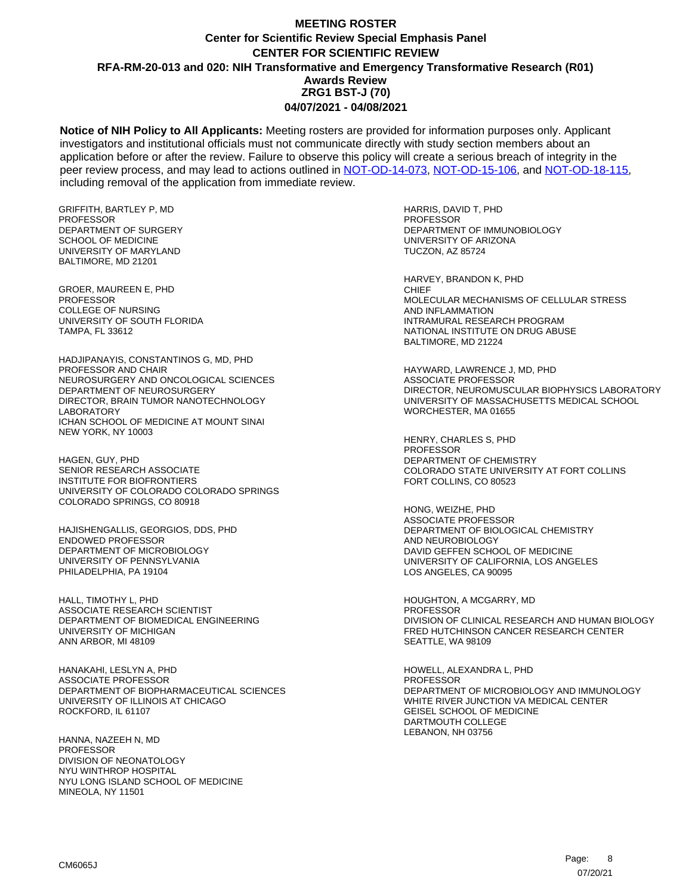**Notice of NIH Policy to All Applicants:** Meeting rosters are provided for information purposes only. Applicant investigators and institutional officials must not communicate directly with study section members about an application before or after the review. Failure to observe this policy will create a serious breach of integrity in the peer review process, and may lead to actions outlined in [NOT-OD-14-073,](https://grants.nih.gov/grants/guide/notice-files/NOT-OD-14-073.html) [NOT-OD-15-106,](https://grants.nih.gov/grants/guide/notice-files/NOT-OD-15-106.html) and [NOT-OD-18-115,](https://grants.nih.gov/grants/guide/notice-files/NOT-OD-18-115.html) including removal of the application from immediate review.

GRIFFITH, BARTLEY P, MD **PROFESSOR** DEPARTMENT OF SURGERY SCHOOL OF MEDICINE UNIVERSITY OF MARYLAND BALTIMORE, MD 21201

GROER, MAUREEN E, PHD PROFESSOR COLLEGE OF NURSING UNIVERSITY OF SOUTH FLORIDA TAMPA, FL 33612

HADJIPANAYIS, CONSTANTINOS G, MD, PHD PROFESSOR AND CHAIR NEUROSURGERY AND ONCOLOGICAL SCIENCES DEPARTMENT OF NEUROSURGERY DIRECTOR, BRAIN TUMOR NANOTECHNOLOGY LABORATORY ICHAN SCHOOL OF MEDICINE AT MOUNT SINAI NEW YORK, NY 10003

HAGEN, GUY, PHD SENIOR RESEARCH ASSOCIATE INSTITUTE FOR BIOFRONTIERS UNIVERSITY OF COLORADO COLORADO SPRINGS COLORADO SPRINGS, CO 80918

HAJISHENGALLIS, GEORGIOS, DDS, PHD ENDOWED PROFESSOR DEPARTMENT OF MICROBIOLOGY UNIVERSITY OF PENNSYLVANIA PHILADELPHIA, PA 19104

HALL, TIMOTHY L, PHD ASSOCIATE RESEARCH SCIENTIST DEPARTMENT OF BIOMEDICAL ENGINEERING UNIVERSITY OF MICHIGAN ANN ARBOR, MI 48109

HANAKAHI, LESLYN A, PHD ASSOCIATE PROFESSOR DEPARTMENT OF BIOPHARMACEUTICAL SCIENCES UNIVERSITY OF ILLINOIS AT CHICAGO ROCKFORD, IL 61107

HANNA, NAZEEH N, MD **PROFESSOR** DIVISION OF NEONATOLOGY NYU WINTHROP HOSPITAL NYU LONG ISLAND SCHOOL OF MEDICINE MINEOLA, NY 11501

HARRIS, DAVID T, PHD PROFESSOR DEPARTMENT OF IMMUNOBIOLOGY UNIVERSITY OF ARIZONA TUCZON, AZ 85724

HARVEY, BRANDON K, PHD **CHIEF** MOLECULAR MECHANISMS OF CELLULAR STRESS AND INFLAMMATION INTRAMURAL RESEARCH PROGRAM NATIONAL INSTITUTE ON DRUG ABUSE BALTIMORE, MD 21224

HAYWARD, LAWRENCE J, MD, PHD ASSOCIATE PROFESSOR DIRECTOR, NEUROMUSCULAR BIOPHYSICS LABORATORY UNIVERSITY OF MASSACHUSETTS MEDICAL SCHOOL WORCHESTER, MA 01655

HENRY, CHARLES S, PHD PROFESSOR DEPARTMENT OF CHEMISTRY COLORADO STATE UNIVERSITY AT FORT COLLINS FORT COLLINS, CO 80523

HONG, WEIZHE, PHD ASSOCIATE PROFESSOR DEPARTMENT OF BIOLOGICAL CHEMISTRY AND NEUROBIOLOGY DAVID GEFFEN SCHOOL OF MEDICINE UNIVERSITY OF CALIFORNIA, LOS ANGELES LOS ANGELES, CA 90095

HOUGHTON, A MCGARRY, MD PROFESSOR DIVISION OF CLINICAL RESEARCH AND HUMAN BIOLOGY FRED HUTCHINSON CANCER RESEARCH CENTER SEATTLE, WA 98109

HOWELL, ALEXANDRA L, PHD PROFESSOR DEPARTMENT OF MICROBIOLOGY AND IMMUNOLOGY WHITE RIVER JUNCTION VA MEDICAL CENTER GEISEL SCHOOL OF MEDICINE DARTMOUTH COLLEGE LEBANON, NH 03756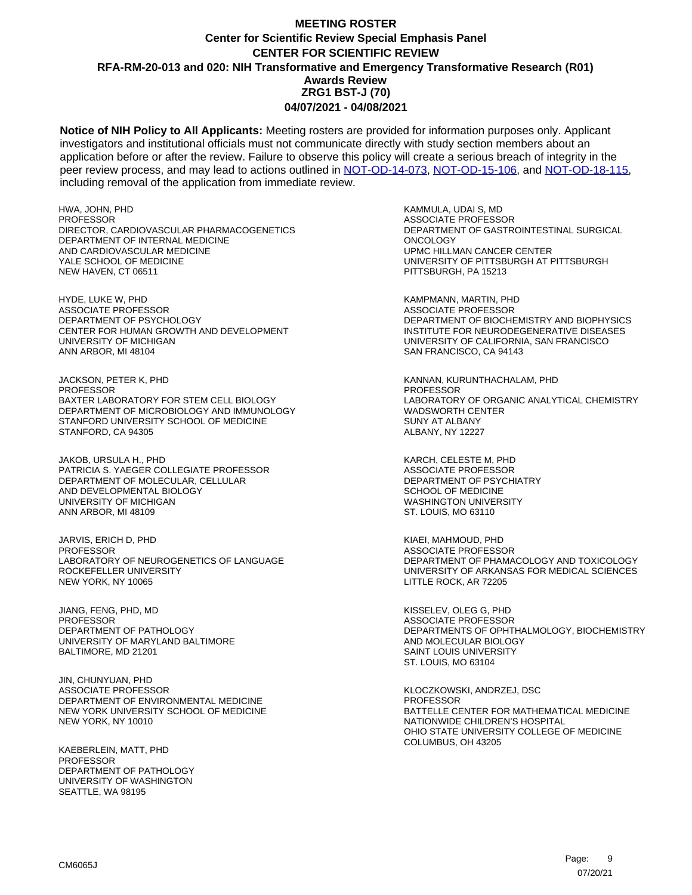**Notice of NIH Policy to All Applicants:** Meeting rosters are provided for information purposes only. Applicant investigators and institutional officials must not communicate directly with study section members about an application before or after the review. Failure to observe this policy will create a serious breach of integrity in the peer review process, and may lead to actions outlined in [NOT-OD-14-073,](https://grants.nih.gov/grants/guide/notice-files/NOT-OD-14-073.html) [NOT-OD-15-106,](https://grants.nih.gov/grants/guide/notice-files/NOT-OD-15-106.html) and [NOT-OD-18-115,](https://grants.nih.gov/grants/guide/notice-files/NOT-OD-18-115.html) including removal of the application from immediate review.

HWA, JOHN, PHD PROFESSOR DIRECTOR, CARDIOVASCULAR PHARMACOGENETICS DEPARTMENT OF INTERNAL MEDICINE AND CARDIOVASCULAR MEDICINE YALE SCHOOL OF MEDICINE NEW HAVEN, CT 06511

HYDE, LUKE W, PHD ASSOCIATE PROFESSOR DEPARTMENT OF PSYCHOLOGY CENTER FOR HUMAN GROWTH AND DEVELOPMENT UNIVERSITY OF MICHIGAN ANN ARBOR, MI 48104

JACKSON, PETER K, PHD PROFESSOR BAXTER LABORATORY FOR STEM CELL BIOLOGY DEPARTMENT OF MICROBIOLOGY AND IMMUNOLOGY STANFORD UNIVERSITY SCHOOL OF MEDICINE STANFORD, CA 94305

JAKOB, URSULA H., PHD PATRICIA S. YAEGER COLLEGIATE PROFESSOR DEPARTMENT OF MOLECULAR, CELLULAR AND DEVELOPMENTAL BIOLOGY UNIVERSITY OF MICHIGAN ANN ARBOR, MI 48109

JARVIS, ERICH D, PHD PROFESSOR LABORATORY OF NEUROGENETICS OF LANGUAGE ROCKEFELLER UNIVERSITY NEW YORK, NY 10065

JIANG, FENG, PHD, MD PROFESSOR DEPARTMENT OF PATHOLOGY UNIVERSITY OF MARYLAND BALTIMORE BALTIMORE, MD 21201

JIN, CHUNYUAN, PHD ASSOCIATE PROFESSOR DEPARTMENT OF ENVIRONMENTAL MEDICINE NEW YORK UNIVERSITY SCHOOL OF MEDICINE NEW YORK, NY 10010

KAEBERLEIN, MATT, PHD **PROFESSOR** DEPARTMENT OF PATHOLOGY UNIVERSITY OF WASHINGTON SEATTLE, WA 98195

KAMMULA, UDAI S, MD ASSOCIATE PROFESSOR DEPARTMENT OF GASTROINTESTINAL SURGICAL **ONCOLOGY** UPMC HILLMAN CANCER CENTER UNIVERSITY OF PITTSBURGH AT PITTSBURGH PITTSBURGH, PA 15213

KAMPMANN, MARTIN, PHD ASSOCIATE PROFESSOR DEPARTMENT OF BIOCHEMISTRY AND BIOPHYSICS INSTITUTE FOR NEURODEGENERATIVE DISEASES UNIVERSITY OF CALIFORNIA, SAN FRANCISCO SAN FRANCISCO, CA 94143

KANNAN, KURUNTHACHALAM, PHD PROFESSOR LABORATORY OF ORGANIC ANALYTICAL CHEMISTRY WADSWORTH CENTER SUNY AT ALBANY ALBANY, NY 12227

KARCH, CELESTE M, PHD ASSOCIATE PROFESSOR DEPARTMENT OF PSYCHIATRY SCHOOL OF MEDICINE WASHINGTON UNIVERSITY ST. LOUIS, MO 63110

KIAEI, MAHMOUD, PHD ASSOCIATE PROFESSOR DEPARTMENT OF PHAMACOLOGY AND TOXICOLOGY UNIVERSITY OF ARKANSAS FOR MEDICAL SCIENCES LITTLE ROCK, AR 72205

KISSELEV, OLEG G, PHD ASSOCIATE PROFESSOR DEPARTMENTS OF OPHTHALMOLOGY, BIOCHEMISTRY AND MOLECULAR BIOLOGY SAINT LOUIS UNIVERSITY ST. LOUIS, MO 63104

KLOCZKOWSKI, ANDRZEJ, DSC PROFESSOR BATTELLE CENTER FOR MATHEMATICAL MEDICINE NATIONWIDE CHILDREN'S HOSPITAL OHIO STATE UNIVERSITY COLLEGE OF MEDICINE COLUMBUS, OH 43205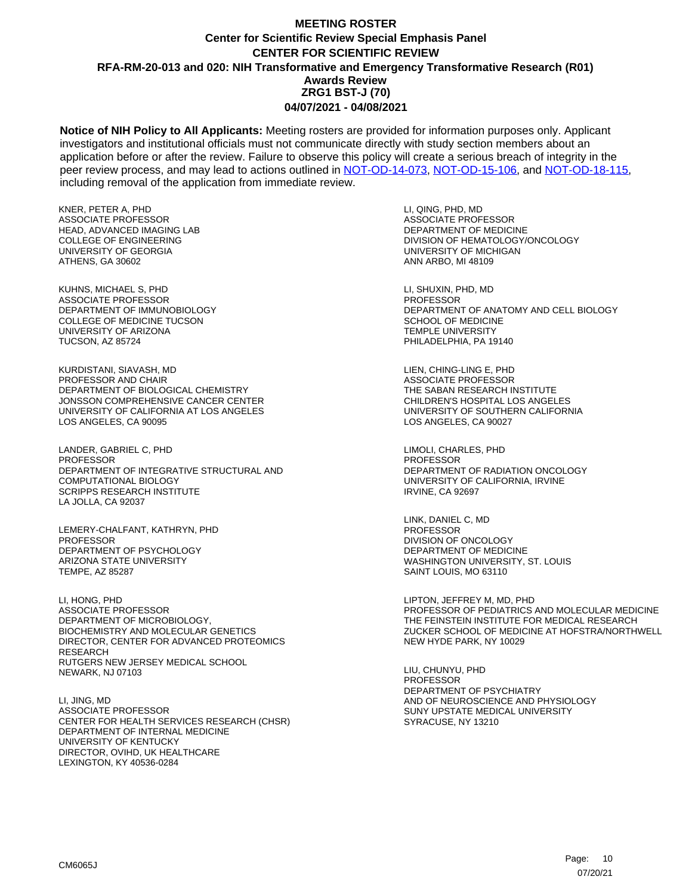**Notice of NIH Policy to All Applicants:** Meeting rosters are provided for information purposes only. Applicant investigators and institutional officials must not communicate directly with study section members about an application before or after the review. Failure to observe this policy will create a serious breach of integrity in the peer review process, and may lead to actions outlined in [NOT-OD-14-073,](https://grants.nih.gov/grants/guide/notice-files/NOT-OD-14-073.html) [NOT-OD-15-106,](https://grants.nih.gov/grants/guide/notice-files/NOT-OD-15-106.html) and [NOT-OD-18-115,](https://grants.nih.gov/grants/guide/notice-files/NOT-OD-18-115.html) including removal of the application from immediate review.

KNER, PETER A, PHD ASSOCIATE PROFESSOR HEAD, ADVANCED IMAGING LAB COLLEGE OF ENGINEERING UNIVERSITY OF GEORGIA ATHENS, GA 30602

KUHNS, MICHAEL S, PHD ASSOCIATE PROFESSOR DEPARTMENT OF IMMUNOBIOLOGY COLLEGE OF MEDICINE TUCSON UNIVERSITY OF ARIZONA TUCSON, AZ 85724

KURDISTANI, SIAVASH, MD PROFESSOR AND CHAIR DEPARTMENT OF BIOLOGICAL CHEMISTRY JONSSON COMPREHENSIVE CANCER CENTER UNIVERSITY OF CALIFORNIA AT LOS ANGELES LOS ANGELES, CA 90095

LANDER, GABRIEL C, PHD PROFESSOR DEPARTMENT OF INTEGRATIVE STRUCTURAL AND COMPUTATIONAL BIOLOGY SCRIPPS RESEARCH INSTITUTE LA JOLLA, CA 92037

LEMERY-CHALFANT, KATHRYN, PHD PROFESSOR DEPARTMENT OF PSYCHOLOGY ARIZONA STATE UNIVERSITY TEMPE, AZ 85287

LI, HONG, PHD ASSOCIATE PROFESSOR DEPARTMENT OF MICROBIOLOGY, BIOCHEMISTRY AND MOLECULAR GENETICS DIRECTOR, CENTER FOR ADVANCED PROTEOMICS **RESEARCH** RUTGERS NEW JERSEY MEDICAL SCHOOL NEWARK, NJ 07103

LI, JING, MD ASSOCIATE PROFESSOR CENTER FOR HEALTH SERVICES RESEARCH (CHSR) DEPARTMENT OF INTERNAL MEDICINE UNIVERSITY OF KENTUCKY DIRECTOR, OVIHD, UK HEALTHCARE LEXINGTON, KY 40536-0284

LI, QING, PHD, MD ASSOCIATE PROFESSOR DEPARTMENT OF MEDICINE DIVISION OF HEMATOLOGY/ONCOLOGY UNIVERSITY OF MICHIGAN ANN ARBO, MI 48109

LI, SHUXIN, PHD, MD **PROFESSOR** DEPARTMENT OF ANATOMY AND CELL BIOLOGY SCHOOL OF MEDICINE TEMPLE UNIVERSITY PHILADELPHIA, PA 19140

LIEN, CHING-LING E, PHD ASSOCIATE PROFESSOR THE SABAN RESEARCH INSTITUTE CHILDREN'S HOSPITAL LOS ANGELES UNIVERSITY OF SOUTHERN CALIFORNIA LOS ANGELES, CA 90027

LIMOLI, CHARLES, PHD PROFESSOR DEPARTMENT OF RADIATION ONCOLOGY UNIVERSITY OF CALIFORNIA, IRVINE IRVINE, CA 92697

LINK, DANIEL C, MD PROFESSOR DIVISION OF ONCOLOGY DEPARTMENT OF MEDICINE WASHINGTON UNIVERSITY, ST. LOUIS SAINT LOUIS, MO 63110

LIPTON, JEFFREY M, MD, PHD PROFESSOR OF PEDIATRICS AND MOLECULAR MEDICINE THE FEINSTEIN INSTITUTE FOR MEDICAL RESEARCH ZUCKER SCHOOL OF MEDICINE AT HOFSTRA/NORTHWELL NEW HYDE PARK, NY 10029

LIU, CHUNYU, PHD PROFESSOR DEPARTMENT OF PSYCHIATRY AND OF NEUROSCIENCE AND PHYSIOLOGY SUNY UPSTATE MEDICAL UNIVERSITY SYRACUSE, NY 13210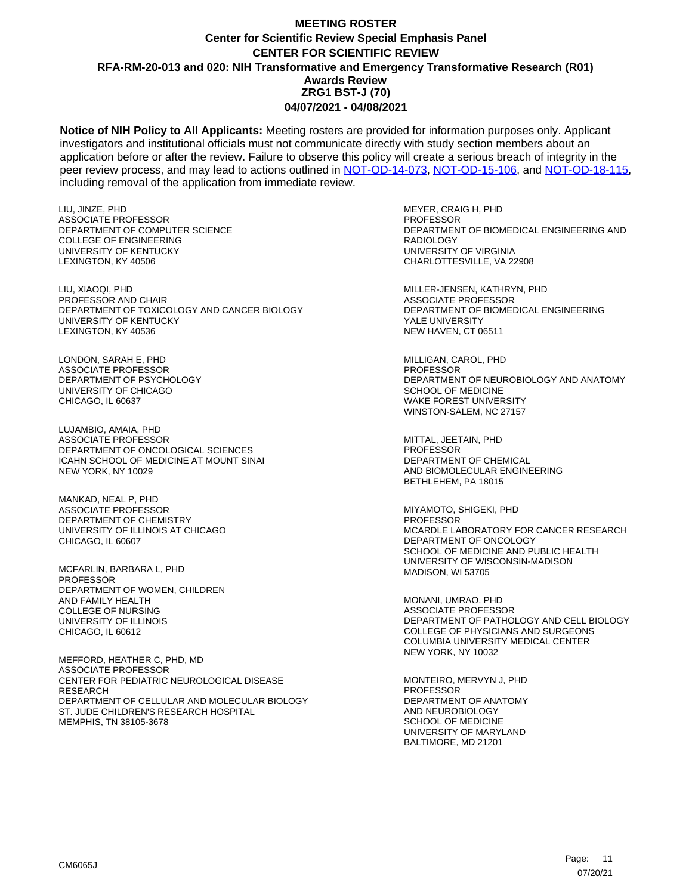**Notice of NIH Policy to All Applicants:** Meeting rosters are provided for information purposes only. Applicant investigators and institutional officials must not communicate directly with study section members about an application before or after the review. Failure to observe this policy will create a serious breach of integrity in the peer review process, and may lead to actions outlined in [NOT-OD-14-073,](https://grants.nih.gov/grants/guide/notice-files/NOT-OD-14-073.html) [NOT-OD-15-106,](https://grants.nih.gov/grants/guide/notice-files/NOT-OD-15-106.html) and [NOT-OD-18-115,](https://grants.nih.gov/grants/guide/notice-files/NOT-OD-18-115.html) including removal of the application from immediate review.

LIU, JINZE, PHD ASSOCIATE PROFESSOR DEPARTMENT OF COMPUTER SCIENCE COLLEGE OF ENGINEERING UNIVERSITY OF KENTUCKY LEXINGTON, KY 40506

LIU, XIAOQI, PHD PROFESSOR AND CHAIR DEPARTMENT OF TOXICOLOGY AND CANCER BIOLOGY UNIVERSITY OF KENTUCKY LEXINGTON, KY 40536

LONDON, SARAH E, PHD ASSOCIATE PROFESSOR DEPARTMENT OF PSYCHOLOGY UNIVERSITY OF CHICAGO CHICAGO, IL 60637

LUJAMBIO, AMAIA, PHD ASSOCIATE PROFESSOR DEPARTMENT OF ONCOLOGICAL SCIENCES ICAHN SCHOOL OF MEDICINE AT MOUNT SINAI NEW YORK, NY 10029

MANKAD, NEAL P, PHD ASSOCIATE PROFESSOR DEPARTMENT OF CHEMISTRY UNIVERSITY OF ILLINOIS AT CHICAGO CHICAGO, IL 60607

MCFARLIN, BARBARA L, PHD PROFESSOR DEPARTMENT OF WOMEN, CHILDREN AND FAMILY HEALTH COLLEGE OF NURSING UNIVERSITY OF ILLINOIS CHICAGO, IL 60612

MEFFORD, HEATHER C, PHD, MD ASSOCIATE PROFESSOR CENTER FOR PEDIATRIC NEUROLOGICAL DISEASE RESEARCH DEPARTMENT OF CELLULAR AND MOLECULAR BIOLOGY ST. JUDE CHILDREN'S RESEARCH HOSPITAL MEMPHIS, TN 38105-3678

MEYER, CRAIG H, PHD **PROFESSOR** DEPARTMENT OF BIOMEDICAL ENGINEERING AND RADIOLOGY UNIVERSITY OF VIRGINIA CHARLOTTESVILLE, VA 22908

MILLER-JENSEN, KATHRYN, PHD ASSOCIATE PROFESSOR DEPARTMENT OF BIOMEDICAL ENGINEERING YALE UNIVERSITY NEW HAVEN, CT 06511

MILLIGAN, CAROL, PHD PROFESSOR DEPARTMENT OF NEUROBIOLOGY AND ANATOMY SCHOOL OF MEDICINE WAKE FOREST UNIVERSITY WINSTON-SALEM, NC 27157

MITTAL, JEETAIN, PHD PROFESSOR DEPARTMENT OF CHEMICAL AND BIOMOLECULAR ENGINEERING BETHLEHEM, PA 18015

MIYAMOTO, SHIGEKI, PHD PROFESSOR MCARDLE LABORATORY FOR CANCER RESEARCH DEPARTMENT OF ONCOLOGY SCHOOL OF MEDICINE AND PUBLIC HEALTH UNIVERSITY OF WISCONSIN-MADISON MADISON, WI 53705

MONANI, UMRAO, PHD ASSOCIATE PROFESSOR DEPARTMENT OF PATHOLOGY AND CELL BIOLOGY COLLEGE OF PHYSICIANS AND SURGEONS COLUMBIA UNIVERSITY MEDICAL CENTER NEW YORK, NY 10032

MONTEIRO, MERVYN J, PHD PROFESSOR DEPARTMENT OF ANATOMY AND NEUROBIOLOGY SCHOOL OF MEDICINE UNIVERSITY OF MARYLAND BALTIMORE, MD 21201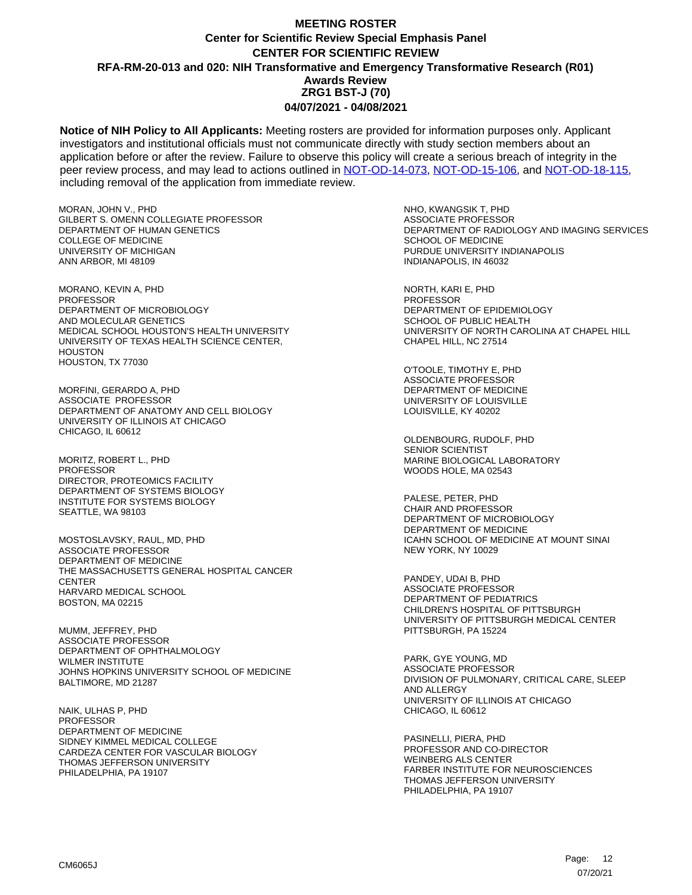**Notice of NIH Policy to All Applicants:** Meeting rosters are provided for information purposes only. Applicant investigators and institutional officials must not communicate directly with study section members about an application before or after the review. Failure to observe this policy will create a serious breach of integrity in the peer review process, and may lead to actions outlined in [NOT-OD-14-073,](https://grants.nih.gov/grants/guide/notice-files/NOT-OD-14-073.html) [NOT-OD-15-106,](https://grants.nih.gov/grants/guide/notice-files/NOT-OD-15-106.html) and [NOT-OD-18-115,](https://grants.nih.gov/grants/guide/notice-files/NOT-OD-18-115.html) including removal of the application from immediate review.

MORAN, JOHN V., PHD GILBERT S. OMENN COLLEGIATE PROFESSOR DEPARTMENT OF HUMAN GENETICS COLLEGE OF MEDICINE UNIVERSITY OF MICHIGAN ANN ARBOR, MI 48109

MORANO, KEVIN A, PHD **PROFESSOR** DEPARTMENT OF MICROBIOLOGY AND MOLECULAR GENETICS MEDICAL SCHOOL HOUSTON'S HEALTH UNIVERSITY UNIVERSITY OF TEXAS HEALTH SCIENCE CENTER, **HOUSTON** HOUSTON, TX 77030

MORFINI, GERARDO A, PHD ASSOCIATE PROFESSOR DEPARTMENT OF ANATOMY AND CELL BIOLOGY UNIVERSITY OF ILLINOIS AT CHICAGO CHICAGO, IL 60612

MORITZ, ROBERT L., PHD **PROFESSOR** DIRECTOR, PROTEOMICS FACILITY DEPARTMENT OF SYSTEMS BIOLOGY INSTITUTE FOR SYSTEMS BIOLOGY SEATTLE, WA 98103

MOSTOSLAVSKY, RAUL, MD, PHD ASSOCIATE PROFESSOR DEPARTMENT OF MEDICINE THE MASSACHUSETTS GENERAL HOSPITAL CANCER **CENTER** HARVARD MEDICAL SCHOOL BOSTON, MA 02215

MUMM, JEFFREY, PHD ASSOCIATE PROFESSOR DEPARTMENT OF OPHTHALMOLOGY WILMER INSTITUTE JOHNS HOPKINS UNIVERSITY SCHOOL OF MEDICINE BALTIMORE, MD 21287

NAIK, ULHAS P, PHD PROFESSOR DEPARTMENT OF MEDICINE SIDNEY KIMMEL MEDICAL COLLEGE CARDEZA CENTER FOR VASCULAR BIOLOGY THOMAS JEFFERSON UNIVERSITY PHILADELPHIA, PA 19107

NHO, KWANGSIK T, PHD ASSOCIATE PROFESSOR DEPARTMENT OF RADIOLOGY AND IMAGING SERVICES SCHOOL OF MEDICINE PURDUE UNIVERSITY INDIANAPOLIS INDIANAPOLIS, IN 46032

NORTH, KARI E, PHD PROFESSOR DEPARTMENT OF EPIDEMIOLOGY SCHOOL OF PUBLIC HEALTH UNIVERSITY OF NORTH CAROLINA AT CHAPEL HILL CHAPEL HILL, NC 27514

O'TOOLE, TIMOTHY E, PHD ASSOCIATE PROFESSOR DEPARTMENT OF MEDICINE UNIVERSITY OF LOUISVILLE LOUISVILLE, KY 40202

OLDENBOURG, RUDOLF, PHD SENIOR SCIENTIST MARINE BIOLOGICAL LABORATORY WOODS HOLE, MA 02543

PALESE, PETER, PHD CHAIR AND PROFESSOR DEPARTMENT OF MICROBIOLOGY DEPARTMENT OF MEDICINE ICAHN SCHOOL OF MEDICINE AT MOUNT SINAI NEW YORK, NY 10029

PANDEY, UDAI B, PHD ASSOCIATE PROFESSOR DEPARTMENT OF PEDIATRICS CHILDREN'S HOSPITAL OF PITTSBURGH UNIVERSITY OF PITTSBURGH MEDICAL CENTER PITTSBURGH, PA 15224

PARK, GYE YOUNG, MD ASSOCIATE PROFESSOR DIVISION OF PULMONARY, CRITICAL CARE, SLEEP AND ALLERGY UNIVERSITY OF ILLINOIS AT CHICAGO CHICAGO, IL 60612

PASINELLI, PIERA, PHD PROFESSOR AND CO-DIRECTOR WEINBERG ALS CENTER FARBER INSTITUTE FOR NEUROSCIENCES THOMAS JEFFERSON UNIVERSITY PHILADELPHIA, PA 19107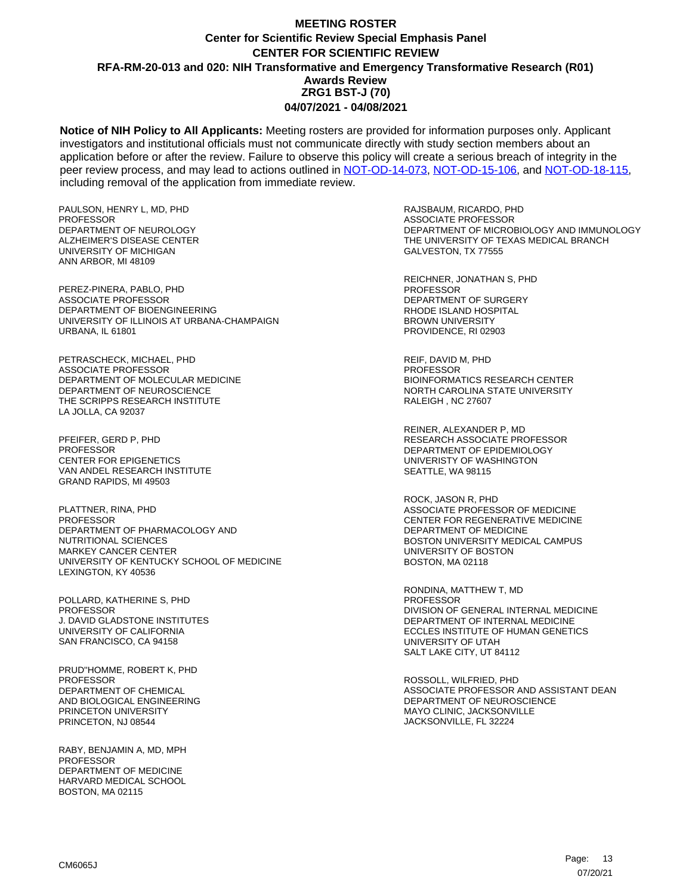**Notice of NIH Policy to All Applicants:** Meeting rosters are provided for information purposes only. Applicant investigators and institutional officials must not communicate directly with study section members about an application before or after the review. Failure to observe this policy will create a serious breach of integrity in the peer review process, and may lead to actions outlined in [NOT-OD-14-073,](https://grants.nih.gov/grants/guide/notice-files/NOT-OD-14-073.html) [NOT-OD-15-106,](https://grants.nih.gov/grants/guide/notice-files/NOT-OD-15-106.html) and [NOT-OD-18-115,](https://grants.nih.gov/grants/guide/notice-files/NOT-OD-18-115.html) including removal of the application from immediate review.

PAULSON, HENRY L, MD, PHD **PROFESSOR** DEPARTMENT OF NEUROLOGY ALZHEIMER'S DISEASE CENTER UNIVERSITY OF MICHIGAN ANN ARBOR, MI 48109

PEREZ-PINERA, PABLO, PHD ASSOCIATE PROFESSOR DEPARTMENT OF BIOENGINEERING UNIVERSITY OF ILLINOIS AT URBANA-CHAMPAIGN URBANA, IL 61801

PETRASCHECK, MICHAEL, PHD ASSOCIATE PROFESSOR DEPARTMENT OF MOLECULAR MEDICINE DEPARTMENT OF NEUROSCIENCE THE SCRIPPS RESEARCH INSTITUTE LA JOLLA, CA 92037

PFEIFER, GERD P, PHD PROFESSOR CENTER FOR EPIGENETICS VAN ANDEL RESEARCH INSTITUTE GRAND RAPIDS, MI 49503

PLATTNER, RINA, PHD PROFESSOR DEPARTMENT OF PHARMACOLOGY AND NUTRITIONAL SCIENCES MARKEY CANCER CENTER UNIVERSITY OF KENTUCKY SCHOOL OF MEDICINE LEXINGTON, KY 40536

POLLARD, KATHERINE S, PHD PROFESSOR J. DAVID GLADSTONE INSTITUTES UNIVERSITY OF CALIFORNIA SAN FRANCISCO, CA 94158

PRUD''HOMME, ROBERT K, PHD PROFESSOR DEPARTMENT OF CHEMICAL AND BIOLOGICAL ENGINEERING PRINCETON UNIVERSITY PRINCETON, NJ 08544

RABY, BENJAMIN A, MD, MPH PROFESSOR DEPARTMENT OF MEDICINE HARVARD MEDICAL SCHOOL BOSTON, MA 02115

RAJSBAUM, RICARDO, PHD ASSOCIATE PROFESSOR DEPARTMENT OF MICROBIOLOGY AND IMMUNOLOGY THE UNIVERSITY OF TEXAS MEDICAL BRANCH GALVESTON, TX 77555

REICHNER, JONATHAN S, PHD PROFESSOR DEPARTMENT OF SURGERY RHODE ISLAND HOSPITAL BROWN UNIVERSITY PROVIDENCE, RI 02903

REIF, DAVID M, PHD PROFESSOR BIOINFORMATICS RESEARCH CENTER NORTH CAROLINA STATE UNIVERSITY RALEIGH , NC 27607

REINER, ALEXANDER P, MD RESEARCH ASSOCIATE PROFESSOR DEPARTMENT OF EPIDEMIOLOGY UNIVERISTY OF WASHINGTON SEATTLE, WA 98115

ROCK, JASON R, PHD ASSOCIATE PROFESSOR OF MEDICINE CENTER FOR REGENERATIVE MEDICINE DEPARTMENT OF MEDICINE BOSTON UNIVERSITY MEDICAL CAMPUS UNIVERSITY OF BOSTON BOSTON, MA 02118

RONDINA, MATTHEW T, MD PROFESSOR DIVISION OF GENERAL INTERNAL MEDICINE DEPARTMENT OF INTERNAL MEDICINE ECCLES INSTITUTE OF HUMAN GENETICS UNIVERSITY OF UTAH SALT LAKE CITY, UT 84112

ROSSOLL, WILFRIED, PHD ASSOCIATE PROFESSOR AND ASSISTANT DEAN DEPARTMENT OF NEUROSCIENCE MAYO CLINIC, JACKSONVILLE JACKSONVILLE, FL 32224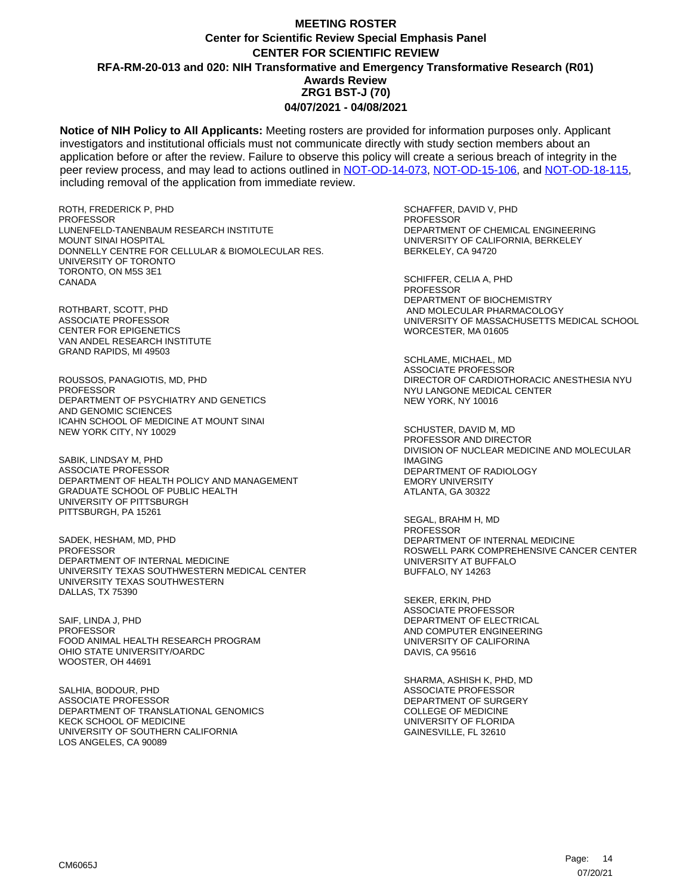**Notice of NIH Policy to All Applicants:** Meeting rosters are provided for information purposes only. Applicant investigators and institutional officials must not communicate directly with study section members about an application before or after the review. Failure to observe this policy will create a serious breach of integrity in the peer review process, and may lead to actions outlined in [NOT-OD-14-073,](https://grants.nih.gov/grants/guide/notice-files/NOT-OD-14-073.html) [NOT-OD-15-106,](https://grants.nih.gov/grants/guide/notice-files/NOT-OD-15-106.html) and [NOT-OD-18-115,](https://grants.nih.gov/grants/guide/notice-files/NOT-OD-18-115.html) including removal of the application from immediate review.

ROTH, FREDERICK P, PHD **PROFESSOR** LUNENFELD-TANENBAUM RESEARCH INSTITUTE MOUNT SINAI HOSPITAL DONNELLY CENTRE FOR CELLULAR & BIOMOLECULAR RES. UNIVERSITY OF TORONTO TORONTO, ON M5S 3E1 CANADA

ROTHBART, SCOTT, PHD ASSOCIATE PROFESSOR CENTER FOR EPIGENETICS VAN ANDEL RESEARCH INSTITUTE GRAND RAPIDS, MI 49503

ROUSSOS, PANAGIOTIS, MD, PHD PROFESSOR DEPARTMENT OF PSYCHIATRY AND GENETICS AND GENOMIC SCIENCES ICAHN SCHOOL OF MEDICINE AT MOUNT SINAI NEW YORK CITY, NY 10029

SABIK, LINDSAY M, PHD ASSOCIATE PROFESSOR DEPARTMENT OF HEALTH POLICY AND MANAGEMENT GRADUATE SCHOOL OF PUBLIC HEALTH UNIVERSITY OF PITTSBURGH PITTSBURGH, PA 15261

SADEK, HESHAM, MD, PHD **PROFESSOR** DEPARTMENT OF INTERNAL MEDICINE UNIVERSITY TEXAS SOUTHWESTERN MEDICAL CENTER UNIVERSITY TEXAS SOUTHWESTERN DALLAS, TX 75390

SAIF, LINDA J, PHD PROFESSOR FOOD ANIMAL HEALTH RESEARCH PROGRAM OHIO STATE UNIVERSITY/OARDC WOOSTER, OH 44691

SALHIA, BODOUR, PHD ASSOCIATE PROFESSOR DEPARTMENT OF TRANSLATIONAL GENOMICS KECK SCHOOL OF MEDICINE UNIVERSITY OF SOUTHERN CALIFORNIA LOS ANGELES, CA 90089

SCHAFFER, DAVID V, PHD PROFESSOR DEPARTMENT OF CHEMICAL ENGINEERING UNIVERSITY OF CALIFORNIA, BERKELEY BERKELEY, CA 94720

SCHIFFER, CELIA A, PHD PROFESSOR DEPARTMENT OF BIOCHEMISTRY AND MOLECULAR PHARMACOLOGY UNIVERSITY OF MASSACHUSETTS MEDICAL SCHOOL WORCESTER, MA 01605

SCHLAME, MICHAEL, MD ASSOCIATE PROFESSOR DIRECTOR OF CARDIOTHORACIC ANESTHESIA NYU NYU LANGONE MEDICAL CENTER NEW YORK, NY 10016

SCHUSTER, DAVID M, MD PROFESSOR AND DIRECTOR DIVISION OF NUCLEAR MEDICINE AND MOLECULAR IMAGING DEPARTMENT OF RADIOLOGY EMORY UNIVERSITY ATLANTA, GA 30322

SEGAL, BRAHM H, MD PROFESSOR DEPARTMENT OF INTERNAL MEDICINE ROSWELL PARK COMPREHENSIVE CANCER CENTER UNIVERSITY AT BUFFALO BUFFALO, NY 14263

SEKER, ERKIN, PHD ASSOCIATE PROFESSOR DEPARTMENT OF ELECTRICAL AND COMPUTER ENGINEERING UNIVERSITY OF CALIFORINA DAVIS, CA 95616

SHARMA, ASHISH K, PHD, MD ASSOCIATE PROFESSOR DEPARTMENT OF SURGERY COLLEGE OF MEDICINE UNIVERSITY OF FLORIDA GAINESVILLE, FL 32610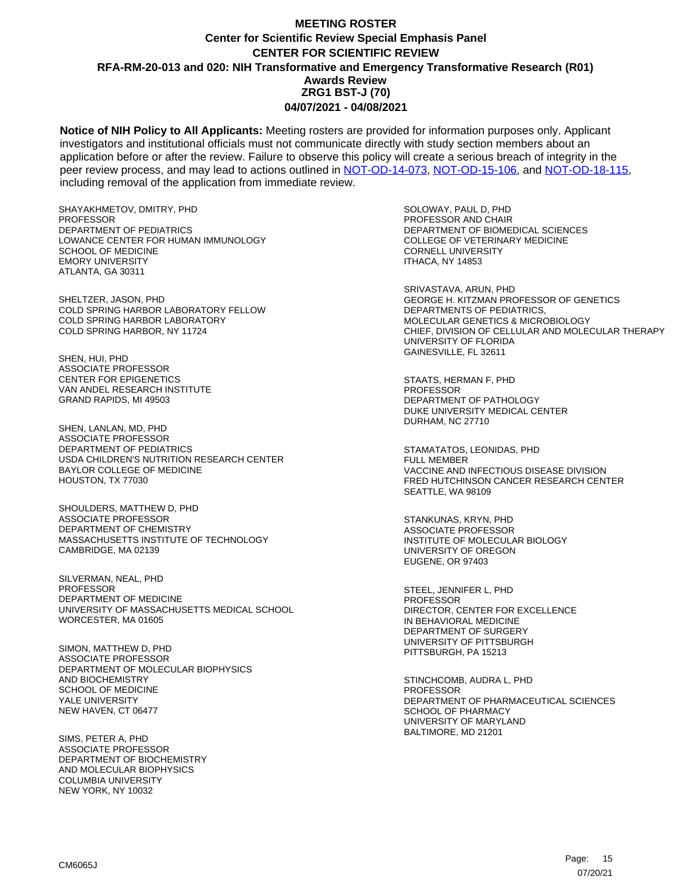**Notice of NIH Policy to All Applicants:** Meeting rosters are provided for information purposes only. Applicant investigators and institutional officials must not communicate directly with study section members about an application before or after the review. Failure to observe this policy will create a serious breach of integrity in the peer review process, and may lead to actions outlined in [NOT-OD-14-073,](https://grants.nih.gov/grants/guide/notice-files/NOT-OD-14-073.html) [NOT-OD-15-106,](https://grants.nih.gov/grants/guide/notice-files/NOT-OD-15-106.html) and [NOT-OD-18-115,](https://grants.nih.gov/grants/guide/notice-files/NOT-OD-18-115.html) including removal of the application from immediate review.

SHAYAKHMETOV, DMITRY, PHD **PROFESSOR** DEPARTMENT OF PEDIATRICS LOWANCE CENTER FOR HUMAN IMMUNOLOGY SCHOOL OF MEDICINE EMORY UNIVERSITY ATLANTA, GA 30311

SHELTZER, JASON, PHD COLD SPRING HARBOR LABORATORY FELLOW COLD SPRING HARBOR LABORATORY COLD SPRING HARBOR, NY 11724

SHEN, HUI, PHD ASSOCIATE PROFESSOR CENTER FOR EPIGENETICS VAN ANDEL RESEARCH INSTITUTE GRAND RAPIDS, MI 49503

SHEN, LANLAN, MD, PHD ASSOCIATE PROFESSOR DEPARTMENT OF PEDIATRICS USDA CHILDREN'S NUTRITION RESEARCH CENTER BAYLOR COLLEGE OF MEDICINE HOUSTON, TX 77030

SHOULDERS, MATTHEW D, PHD ASSOCIATE PROFESSOR DEPARTMENT OF CHEMISTRY MASSACHUSETTS INSTITUTE OF TECHNOLOGY CAMBRIDGE, MA 02139

SILVERMAN, NEAL, PHD **PROFESSOR** DEPARTMENT OF MEDICINE UNIVERSITY OF MASSACHUSETTS MEDICAL SCHOOL WORCESTER, MA 01605

SIMON, MATTHEW D, PHD ASSOCIATE PROFESSOR DEPARTMENT OF MOLECULAR BIOPHYSICS AND BIOCHEMISTRY SCHOOL OF MEDICINE YALE UNIVERSITY NEW HAVEN, CT 06477

SIMS, PETER A, PHD ASSOCIATE PROFESSOR DEPARTMENT OF BIOCHEMISTRY AND MOLECULAR BIOPHYSICS COLUMBIA UNIVERSITY NEW YORK, NY 10032

SOLOWAY, PAUL D, PHD PROFESSOR AND CHAIR DEPARTMENT OF BIOMEDICAL SCIENCES COLLEGE OF VETERINARY MEDICINE CORNELL UNIVERSITY ITHACA, NY 14853

SRIVASTAVA, ARUN, PHD GEORGE H. KITZMAN PROFESSOR OF GENETICS DEPARTMENTS OF PEDIATRICS, MOLECULAR GENETICS & MICROBIOLOGY CHIEF, DIVISION OF CELLULAR AND MOLECULAR THERAPY UNIVERSITY OF FLORIDA GAINESVILLE, FL 32611

STAATS, HERMAN F, PHD PROFESSOR DEPARTMENT OF PATHOLOGY DUKE UNIVERSITY MEDICAL CENTER DURHAM, NC 27710

STAMATATOS, LEONIDAS, PHD FULL MEMBER VACCINE AND INFECTIOUS DISEASE DIVISION FRED HUTCHINSON CANCER RESEARCH CENTER SEATTLE, WA 98109

STANKUNAS, KRYN, PHD ASSOCIATE PROFESSOR INSTITUTE OF MOLECULAR BIOLOGY UNIVERSITY OF OREGON EUGENE, OR 97403

STEEL, JENNIFER L, PHD PROFESSOR DIRECTOR, CENTER FOR EXCELLENCE IN BEHAVIORAL MEDICINE DEPARTMENT OF SURGERY UNIVERSITY OF PITTSBURGH PITTSBURGH, PA 15213

STINCHCOMB, AUDRA L, PHD **PROFESSOR** DEPARTMENT OF PHARMACEUTICAL SCIENCES SCHOOL OF PHARMACY UNIVERSITY OF MARYLAND BALTIMORE, MD 21201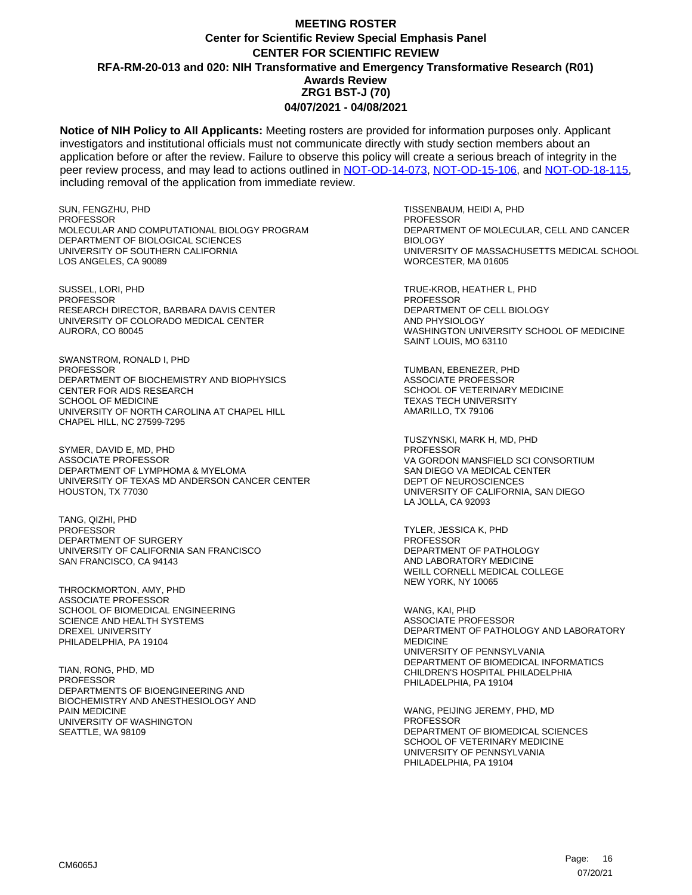**Notice of NIH Policy to All Applicants:** Meeting rosters are provided for information purposes only. Applicant investigators and institutional officials must not communicate directly with study section members about an application before or after the review. Failure to observe this policy will create a serious breach of integrity in the peer review process, and may lead to actions outlined in [NOT-OD-14-073,](https://grants.nih.gov/grants/guide/notice-files/NOT-OD-14-073.html) [NOT-OD-15-106,](https://grants.nih.gov/grants/guide/notice-files/NOT-OD-15-106.html) and [NOT-OD-18-115,](https://grants.nih.gov/grants/guide/notice-files/NOT-OD-18-115.html) including removal of the application from immediate review.

SUN, FENGZHU, PHD PROFESSOR MOLECULAR AND COMPUTATIONAL BIOLOGY PROGRAM DEPARTMENT OF BIOLOGICAL SCIENCES UNIVERSITY OF SOUTHERN CALIFORNIA LOS ANGELES, CA 90089

SUSSEL, LORI, PHD PROFESSOR RESEARCH DIRECTOR, BARBARA DAVIS CENTER UNIVERSITY OF COLORADO MEDICAL CENTER AURORA, CO 80045

SWANSTROM, RONALD I, PHD PROFESSOR DEPARTMENT OF BIOCHEMISTRY AND BIOPHYSICS CENTER FOR AIDS RESEARCH SCHOOL OF MEDICINE UNIVERSITY OF NORTH CAROLINA AT CHAPEL HILL CHAPEL HILL, NC 27599-7295

SYMER, DAVID E, MD, PHD ASSOCIATE PROFESSOR DEPARTMENT OF LYMPHOMA & MYELOMA UNIVERSITY OF TEXAS MD ANDERSON CANCER CENTER HOUSTON, TX 77030

TANG, QIZHI, PHD PROFESSOR DEPARTMENT OF SURGERY UNIVERSITY OF CALIFORNIA SAN FRANCISCO SAN FRANCISCO, CA 94143

THROCKMORTON, AMY, PHD ASSOCIATE PROFESSOR SCHOOL OF BIOMEDICAL ENGINEERING SCIENCE AND HEALTH SYSTEMS DREXEL UNIVERSITY PHILADELPHIA, PA 19104

TIAN, RONG, PHD, MD PROFESSOR DEPARTMENTS OF BIOENGINEERING AND BIOCHEMISTRY AND ANESTHESIOLOGY AND PAIN MEDICINE UNIVERSITY OF WASHINGTON SEATTLE, WA 98109

TISSENBAUM, HEIDI A, PHD **PROFESSOR** DEPARTMENT OF MOLECULAR, CELL AND CANCER BIOLOGY UNIVERSITY OF MASSACHUSETTS MEDICAL SCHOOL WORCESTER, MA 01605

TRUE-KROB, HEATHER L, PHD PROFESSOR DEPARTMENT OF CELL BIOLOGY AND PHYSIOLOGY WASHINGTON UNIVERSITY SCHOOL OF MEDICINE SAINT LOUIS, MO 63110

TUMBAN, EBENEZER, PHD ASSOCIATE PROFESSOR SCHOOL OF VETERINARY MEDICINE TEXAS TECH UNIVERSITY AMARILLO, TX 79106

TUSZYNSKI, MARK H, MD, PHD PROFESSOR VA GORDON MANSFIELD SCI CONSORTIUM SAN DIEGO VA MEDICAL CENTER DEPT OF NEUROSCIENCES UNIVERSITY OF CALIFORNIA, SAN DIEGO LA JOLLA, CA 92093

TYLER, JESSICA K, PHD PROFESSOR DEPARTMENT OF PATHOLOGY AND LABORATORY MEDICINE WEILL CORNELL MEDICAL COLLEGE NEW YORK, NY 10065

WANG, KAI, PHD ASSOCIATE PROFESSOR DEPARTMENT OF PATHOLOGY AND LABORATORY MEDICINE UNIVERSITY OF PENNSYLVANIA DEPARTMENT OF BIOMEDICAL INFORMATICS CHILDREN'S HOSPITAL PHILADELPHIA PHILADELPHIA, PA 19104

WANG, PEIJING JEREMY, PHD, MD PROFESSOR DEPARTMENT OF BIOMEDICAL SCIENCES SCHOOL OF VETERINARY MEDICINE UNIVERSITY OF PENNSYLVANIA PHILADELPHIA, PA 19104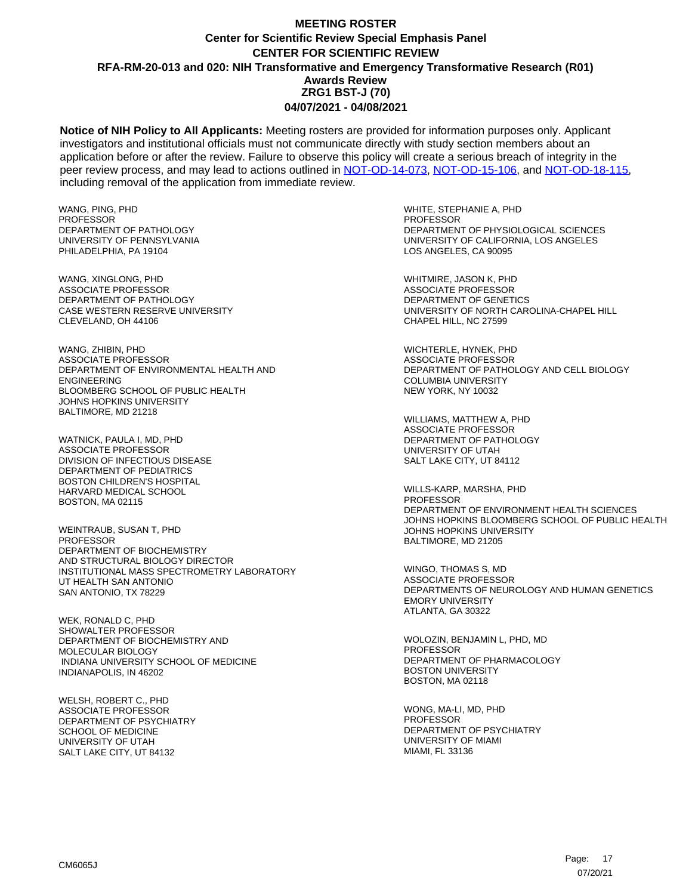**Notice of NIH Policy to All Applicants:** Meeting rosters are provided for information purposes only. Applicant investigators and institutional officials must not communicate directly with study section members about an application before or after the review. Failure to observe this policy will create a serious breach of integrity in the peer review process, and may lead to actions outlined in [NOT-OD-14-073,](https://grants.nih.gov/grants/guide/notice-files/NOT-OD-14-073.html) [NOT-OD-15-106,](https://grants.nih.gov/grants/guide/notice-files/NOT-OD-15-106.html) and [NOT-OD-18-115,](https://grants.nih.gov/grants/guide/notice-files/NOT-OD-18-115.html) including removal of the application from immediate review.

WANG, PING, PHD **PROFESSOR** DEPARTMENT OF PATHOLOGY UNIVERSITY OF PENNSYLVANIA PHILADELPHIA, PA 19104

WANG, XINGLONG, PHD ASSOCIATE PROFESSOR DEPARTMENT OF PATHOLOGY CASE WESTERN RESERVE UNIVERSITY CLEVELAND, OH 44106

WANG, ZHIBIN, PHD ASSOCIATE PROFESSOR DEPARTMENT OF ENVIRONMENTAL HEALTH AND ENGINEERING BLOOMBERG SCHOOL OF PUBLIC HEALTH JOHNS HOPKINS UNIVERSITY BALTIMORE, MD 21218

WATNICK, PAULA I, MD, PHD ASSOCIATE PROFESSOR DIVISION OF INFECTIOUS DISEASE DEPARTMENT OF PEDIATRICS BOSTON CHILDREN'S HOSPITAL HARVARD MEDICAL SCHOOL BOSTON, MA 02115

WEINTRAUB, SUSAN T, PHD PROFESSOR DEPARTMENT OF BIOCHEMISTRY AND STRUCTURAL BIOLOGY DIRECTOR INSTITUTIONAL MASS SPECTROMETRY LABORATORY UT HEALTH SAN ANTONIO SAN ANTONIO, TX 78229

WEK, RONALD C, PHD SHOWALTER PROFESSOR DEPARTMENT OF BIOCHEMISTRY AND MOLECULAR BIOLOGY INDIANA UNIVERSITY SCHOOL OF MEDICINE INDIANAPOLIS, IN 46202

WELSH, ROBERT C., PHD ASSOCIATE PROFESSOR DEPARTMENT OF PSYCHIATRY SCHOOL OF MEDICINE UNIVERSITY OF UTAH SALT LAKE CITY, UT 84132

WHITE, STEPHANIE A, PHD **PROFESSOR** DEPARTMENT OF PHYSIOLOGICAL SCIENCES UNIVERSITY OF CALIFORNIA, LOS ANGELES LOS ANGELES, CA 90095

WHITMIRE, JASON K, PHD ASSOCIATE PROFESSOR DEPARTMENT OF GENETICS UNIVERSITY OF NORTH CAROLINA-CHAPEL HILL CHAPEL HILL, NC 27599

WICHTERLE, HYNEK, PHD ASSOCIATE PROFESSOR DEPARTMENT OF PATHOLOGY AND CELL BIOLOGY COLUMBIA UNIVERSITY NEW YORK, NY 10032

WILLIAMS, MATTHEW A, PHD ASSOCIATE PROFESSOR DEPARTMENT OF PATHOLOGY UNIVERSITY OF UTAH SALT LAKE CITY, UT 84112

WILLS-KARP, MARSHA, PHD PROFESSOR DEPARTMENT OF ENVIRONMENT HEALTH SCIENCES JOHNS HOPKINS BLOOMBERG SCHOOL OF PUBLIC HEALTH JOHNS HOPKINS UNIVERSITY BALTIMORE, MD 21205

WINGO, THOMAS S, MD ASSOCIATE PROFESSOR DEPARTMENTS OF NEUROLOGY AND HUMAN GENETICS EMORY UNIVERSITY ATLANTA, GA 30322

WOLOZIN, BENJAMIN L, PHD, MD PROFESSOR DEPARTMENT OF PHARMACOLOGY BOSTON UNIVERSITY BOSTON, MA 02118

WONG, MA-LI, MD, PHD PROFESSOR DEPARTMENT OF PSYCHIATRY UNIVERSITY OF MIAMI MIAMI, FL 33136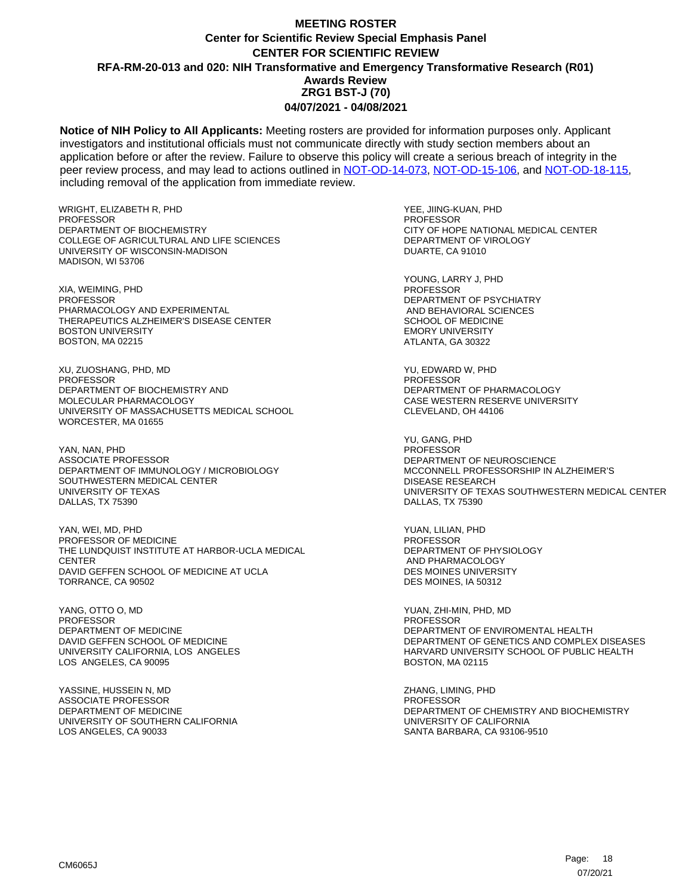**Notice of NIH Policy to All Applicants:** Meeting rosters are provided for information purposes only. Applicant investigators and institutional officials must not communicate directly with study section members about an application before or after the review. Failure to observe this policy will create a serious breach of integrity in the peer review process, and may lead to actions outlined in [NOT-OD-14-073,](https://grants.nih.gov/grants/guide/notice-files/NOT-OD-14-073.html) [NOT-OD-15-106,](https://grants.nih.gov/grants/guide/notice-files/NOT-OD-15-106.html) and [NOT-OD-18-115,](https://grants.nih.gov/grants/guide/notice-files/NOT-OD-18-115.html) including removal of the application from immediate review.

WRIGHT, ELIZABETH R, PHD **PROFESSOR** DEPARTMENT OF BIOCHEMISTRY COLLEGE OF AGRICULTURAL AND LIFE SCIENCES UNIVERSITY OF WISCONSIN-MADISON MADISON, WI 53706

XIA, WEIMING, PHD **PROFESSOR** PHARMACOLOGY AND EXPERIMENTAL THERAPEUTICS ALZHEIMER'S DISEASE CENTER BOSTON UNIVERSITY BOSTON, MA 02215

XU, ZUOSHANG, PHD, MD PROFESSOR DEPARTMENT OF BIOCHEMISTRY AND MOLECULAR PHARMACOLOGY UNIVERSITY OF MASSACHUSETTS MEDICAL SCHOOL WORCESTER, MA 01655

YAN, NAN, PHD ASSOCIATE PROFESSOR DEPARTMENT OF IMMUNOLOGY / MICROBIOLOGY SOUTHWESTERN MEDICAL CENTER UNIVERSITY OF TEXAS DALLAS, TX 75390

YAN, WEI, MD, PHD PROFESSOR OF MEDICINE THE LUNDQUIST INSTITUTE AT HARBOR-UCLA MEDICAL **CENTER** DAVID GEFFEN SCHOOL OF MEDICINE AT UCLA TORRANCE, CA 90502

YANG, OTTO O, MD PROFESSOR DEPARTMENT OF MEDICINE DAVID GEFFEN SCHOOL OF MEDICINE UNIVERSITY CALIFORNIA, LOS ANGELES LOS ANGELES, CA 90095

YASSINE, HUSSEIN N, MD ASSOCIATE PROFESSOR DEPARTMENT OF MEDICINE UNIVERSITY OF SOUTHERN CALIFORNIA LOS ANGELES, CA 90033

YEE, JIING-KUAN, PHD PROFESSOR CITY OF HOPE NATIONAL MEDICAL CENTER DEPARTMENT OF VIROLOGY DUARTE, CA 91010

YOUNG, LARRY J, PHD PROFESSOR DEPARTMENT OF PSYCHIATRY AND BEHAVIORAL SCIENCES SCHOOL OF MEDICINE EMORY UNIVERSITY ATLANTA, GA 30322

YU, EDWARD W, PHD PROFESSOR DEPARTMENT OF PHARMACOLOGY CASE WESTERN RESERVE UNIVERSITY CLEVELAND, OH 44106

YU, GANG, PHD PROFESSOR DEPARTMENT OF NEUROSCIENCE MCCONNELL PROFESSORSHIP IN ALZHEIMER'S DISEASE RESEARCH UNIVERSITY OF TEXAS SOUTHWESTERN MEDICAL CENTER DALLAS, TX 75390

YUAN, LILIAN, PHD PROFESSOR DEPARTMENT OF PHYSIOLOGY AND PHARMACOLOGY DES MOINES UNIVERSITY DES MOINES, IA 50312

YUAN, ZHI-MIN, PHD, MD PROFESSOR DEPARTMENT OF ENVIROMENTAL HEALTH DEPARTMENT OF GENETICS AND COMPLEX DISEASES HARVARD UNIVERSITY SCHOOL OF PUBLIC HEALTH BOSTON, MA 02115

ZHANG, LIMING, PHD PROFESSOR DEPARTMENT OF CHEMISTRY AND BIOCHEMISTRY UNIVERSITY OF CALIFORNIA SANTA BARBARA, CA 93106-9510